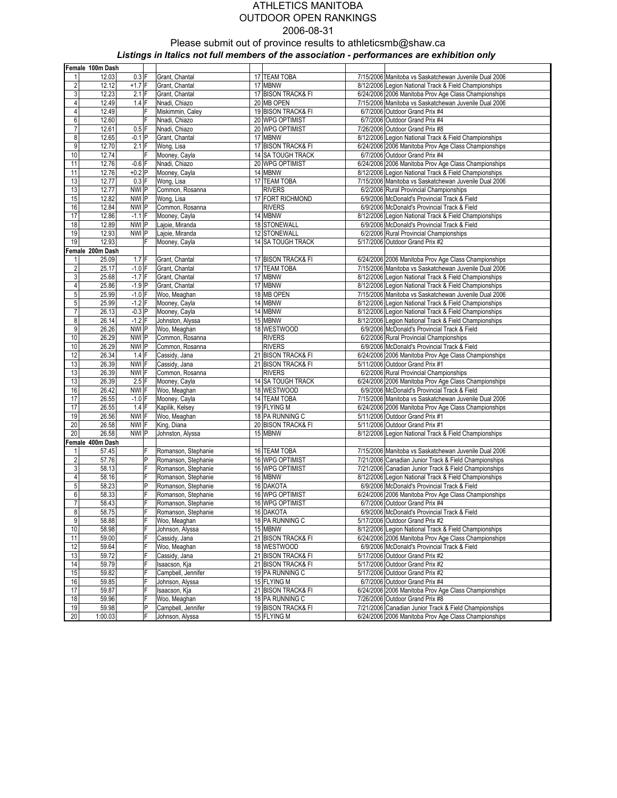|                | Female 100m Dash |                  |              |                             |                    |                                                       |
|----------------|------------------|------------------|--------------|-----------------------------|--------------------|-------------------------------------------------------|
|                | 12.03            | $0.3$ F          |              | Grant, Chantal              | 17 TEAM TOBA       | 7/15/2006 Manitoba vs Saskatchewan Juvenile Dual 2006 |
| $\overline{2}$ | 12.12            | $+1.7$ F         |              | Grant, Chantal              | 17 MBNW            | 8/12/2006 Legion National Track & Field Championships |
| $\overline{3}$ | 12.23            | $2.1$ F          |              | Grant, Chantal              | 17 BISON TRACK& FI | 6/24/2006 2006 Manitoba Prov Age Class Championships  |
| 4              | 12.49            | $1.4$ F          |              | Nnadi, Chiazo               | 20 MB OPEN         | 7/15/2006 Manitoba vs Saskatchewan Juvenile Dual 2006 |
| 4              | 12.49            |                  | F            | Miskimmin, Caley            | 19 BISON TRACK& FI | 6/7/2006 Outdoor Grand Prix #4                        |
| 6              | 12.60            |                  | lF           | Nnadi, Chiazo               | 20 WPG OPTIMIST    | 6/7/2006 Outdoor Grand Prix #4                        |
| 7              | 12.61            | $0.5$ F          |              | Nnadi, Chiazo               | 20 WPG OPTIMIST    | 7/26/2006 Outdoor Grand Prix #8                       |
| 8              | 12.65            | $-0.1$ P         |              | Grant, Chantal              | 17 MBNW            | 8/12/2006 Legion National Track & Field Championships |
| 9              | 12.70            | $2.1$ F          |              | Wong, Lisa                  | 17 BISON TRACK& FI | 6/24/2006 2006 Manitoba Prov Age Class Championships  |
| 10             | 12.74            |                  | ΙF           | Mooney, Cayla               | 14 SA TOUGH TRACK  | 6/7/2006 Outdoor Grand Prix #4                        |
| 11             | 12.76            | $-0.6$ F         |              | Nnadi, Chiazo               | 20 WPG OPTIMIST    | 6/24/2006 2006 Manitoba Prov Age Class Championships  |
| 11             | 12.76            | $+0.2$ P         |              |                             | 14 MBNW            | 8/12/2006 Legion National Track & Field Championships |
|                |                  | $0.3$ F          |              | Mooney, Cayla<br>Wong, Lisa | 17 TEAM TOBA       |                                                       |
| 13             | 12.77            |                  |              |                             |                    | 7/15/2006 Manitoba vs Saskatchewan Juvenile Dual 2006 |
| 13             | 12.77            | NWI P            |              | Common, Rosanna             | <b>RIVERS</b>      | 6/2/2006 Rural Provincial Championships               |
| 15             | 12.82            | NWI P            |              | Wong, Lisa                  | 17 FORT RICHMOND   | 6/9/2006 McDonald's Provincial Track & Field          |
| 16             | 12.84            | NWI P            |              | Common, Rosanna             | <b>RIVERS</b>      | 6/9/2006 McDonald's Provincial Track & Field          |
| 17             | 12.86            | $-1.1$ F         |              | Mooney, Cayla               | 14 MBNW            | 8/12/2006 Legion National Track & Field Championships |
| 18             | 12.89            | NWIP             |              | Lajoie, Miranda             | 18 STONEWALL       | 6/9/2006 McDonald's Provincial Track & Field          |
| 19             | 12.93            | NWI P            |              | Lajoie, Miranda             | 12 STONEWALL       | 6/2/2006 Rural Provincial Championships               |
| 19             | 12.93            |                  | F            | Mooney, Cayla               | 14 SA TOUGH TRACK  | 5/17/2006 Outdoor Grand Prix #2                       |
|                | Female 200m Dash |                  |              |                             |                    |                                                       |
| 1              | 25.09            | $1.7$ F          |              | Grant, Chantal              | 17 BISON TRACK& FI | 6/24/2006 2006 Manitoba Prov Age Class Championships  |
| $\overline{c}$ | 25.17            | $-1.0$ F         |              | Grant, Chantal              | 17 TEAM TOBA       | 7/15/2006 Manitoba vs Saskatchewan Juvenile Dual 2006 |
| $\mathbf{3}$   | 25.68            | $-1.7$ F         |              | Grant, Chantal              | 17 MBNW            | 8/12/2006 Legion National Track & Field Championships |
| 4              | 25.86            | $-1.9$ P         |              | Grant, Chantal              | 17 MBNW            | 8/12/2006 Legion National Track & Field Championships |
| 5              | 25.99            | $-1.0$ F         |              | Woo, Meaghan                | 18 MB OPEN         | 7/15/2006 Manitoba vs Saskatchewan Juvenile Dual 2006 |
| 5              | 25.99            | $-1.2$ F         |              | Mooney, Cayla               | 14 MBNW            | 8/12/2006 Legion National Track & Field Championships |
| 7              | 26.13            | $-0.3$ P         |              | Mooney, Cayla               | 14 MBNW            | 8/12/2006 Legion National Track & Field Championships |
| 8              | 26.14            | $-1.2$ F         |              | Johnston, Alyssa            | 15 MBNW            | 8/12/2006 Legion National Track & Field Championships |
| 9              | 26.26            | NWI P            |              | Woo, Meaghan                | 18 WESTWOOD        | 6/9/2006 McDonald's Provincial Track & Field          |
| 10             | 26.29            | NWI P            |              | Common, Rosanna             | <b>RIVERS</b>      | 6/2/2006 Rural Provincial Championships               |
| 10             | 26.29            | NWI P            |              | Common, Rosanna             | <b>RIVERS</b>      | 6/9/2006 McDonald's Provincial Track & Field          |
| 12             | 26.34            | $1.4$ F          |              | Cassidy, Jana               | 21 BISON TRACK& FI | 6/24/2006 2006 Manitoba Prov Age Class Championships  |
| 13             | 26.39            | NWI <sup>F</sup> |              | Cassidy, Jana               | 21 BISON TRACK& FI | 5/11/2006 Outdoor Grand Prix #1                       |
| 13             | 26.39            | NWI F            |              | Common, Rosanna             | <b>RIVERS</b>      | 6/2/2006 Rural Provincial Championships               |
| 13             | 26.39            | $2.5$ F          |              | Mooney, Cayla               | 14 SA TOUGH TRACK  | 6/24/2006 2006 Manitoba Prov Age Class Championships  |
| 16             | 26.42            | NWI <sup>F</sup> |              | Woo, Meaghan                | 18 WESTWOOD        | 6/9/2006 McDonald's Provincial Track & Field          |
| 17             | 26.55            | $-1.0$ F         |              | Mooney, Cayla               | 14 TEAM TOBA       | 7/15/2006 Manitoba vs Saskatchewan Juvenile Dual 2006 |
| 17             | 26.55            | $1.4$ F          |              | Kapilik, Kelsey             | 19 FLYING M        | 6/24/2006 2006 Manitoba Prov Age Class Championships  |
| 19             | 26.56            | NWI F            |              | Woo, Meaghan                | 18 PA RUNNING C    | 5/11/2006 Outdoor Grand Prix #1                       |
| 20             | 26.58            | NWI <sup>F</sup> |              | King, Diana                 | 20 BISON TRACK& FI | 5/11/2006 Outdoor Grand Prix #1                       |
| 20             | 26.58            | NWI P            |              | Johnston, Alyssa            | 15 MBNW            | 8/12/2006 Legion National Track & Field Championships |
|                | Female 400m Dash |                  |              |                             |                    |                                                       |
|                | 57.45            |                  | F            | Romanson, Stephanie         | 16 TEAM TOBA       | 7/15/2006 Manitoba vs Saskatchewan Juvenile Dual 2006 |
| $\overline{2}$ | 57.76            |                  | P            |                             | 16 WPG OPTIMIST    | 7/21/2006 Canadian Junior Track & Field Championships |
| $\mathbf{3}$   | 58.13            |                  | F            | Romanson, Stephanie         |                    | 7/21/2006 Canadian Junior Track & Field Championships |
| 4              | 58.16            |                  | F            | Romanson, Stephanie         | 16 WPG OPTIMIST    |                                                       |
| $\overline{5}$ | 58.23            |                  | P            | Romanson, Stephanie         | 16 MBNW            | 8/12/2006 Legion National Track & Field Championships |
|                |                  |                  |              | Romanson, Stephanie         | 16 DAKOTA          | 6/9/2006 McDonald's Provincial Track & Field          |
| 6              | 58.33            |                  | F            | Romanson, Stephanie         | 16 WPG OPTIMIST    | 6/24/2006 2006 Manitoba Prov Age Class Championships  |
| $\overline{7}$ | 58.43            |                  | F            | Romanson, Stephanie         | 16 WPG OPTIMIST    | 6/7/2006 Outdoor Grand Prix #4                        |
| 8              | 58.75            |                  | F            | Romanson, Stephanie         | 16 DAKOTA          | 6/9/2006 McDonald's Provincial Track & Field          |
| $9\,$          | 58.88            |                  | F            | Woo, Meaghan                | 18 PA RUNNING C    | 5/17/2006 Outdoor Grand Prix #2                       |
| $10$           | 58.98            |                  | F            | Johnson, Alyssa             | 15 MBNW            | 8/12/2006 Legion National Track & Field Championships |
| 11             | 59.00            |                  | F            | Cassidy, Jana               | 21 BISON TRACK& FI | 6/24/2006 2006 Manitoba Prov Age Class Championships  |
| 12             | 59.64            |                  | F            | Woo, Meaghan                | 18 WESTWOOD        | 6/9/2006 McDonald's Provincial Track & Field          |
| 13             | 59.72            |                  | F            | Cassidy, Jana               | 21 BISON TRACK& FI | 5/17/2006 Outdoor Grand Prix #2                       |
| 14             | 59.79            |                  | F            | Isaacson, Kja               | 21 BISON TRACK& FI | 5/17/2006 Outdoor Grand Prix #2                       |
| 15             | 59.82            |                  | F            | Campbell, Jennifer          | 19 PA RUNNING C    | 5/17/2006 Outdoor Grand Prix #2                       |
| 16             | 59.85            |                  | F            | Johnson, Alyssa             | 15 FLYING M        | 6/7/2006 Outdoor Grand Prix #4                        |
| 17             | 59.87            |                  | F            | Isaacson, Kja               | 21 BISON TRACK& FI | 6/24/2006 2006 Manitoba Prov Age Class Championships  |
| 18             | 59.96            |                  | F            | Woo, Meaghan                | 18 PA RUNNING C    | 7/26/2006 Outdoor Grand Prix #8                       |
| 19             | 59.98            |                  | $\mathsf{P}$ | Campbell, Jennifer          | 19 BISON TRACK& FI | 7/21/2006 Canadian Junior Track & Field Championships |
| 20             | 1:00.03          |                  | F            | Johnson, Alyssa             | 15 FLYING M        | 6/24/2006 2006 Manitoba Prov Age Class Championships  |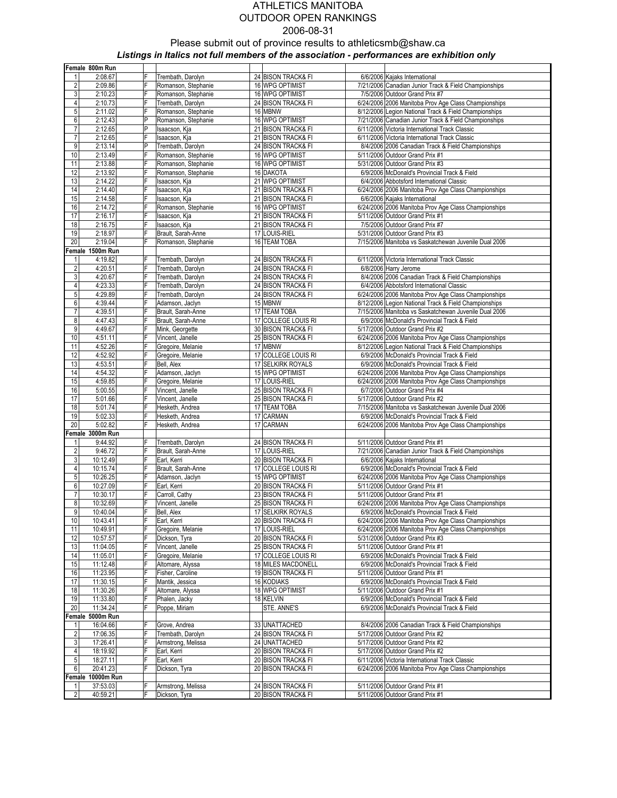|                         | Female 800m Run   |        |                     |    |                     |                                                       |
|-------------------------|-------------------|--------|---------------------|----|---------------------|-------------------------------------------------------|
| 1                       | 2:08.67           |        | Trembath, Darolyn   |    | 24 BISON TRACK& FI  | 6/6/2006 Kajaks International                         |
| $\overline{2}$          | 2:09.86           | E      | Romanson, Stephanie |    | 16 WPG OPTIMIST     | 7/21/2006 Canadian Junior Track & Field Championships |
| $\mathbf{3}$            | 2:10.23           | F      | Romanson, Stephanie |    | 16 WPG OPTIMIST     | 7/5/2006 Outdoor Grand Prix #7                        |
| 4                       | 2:10.73           | F      | Trembath, Darolyn   |    | 24 BISON TRACK& FI  | 6/24/2006 2006 Manitoba Prov Age Class Championships  |
| $5\overline{)}$         | 2:11.02           | F      | Romanson, Stephanie |    | 16 MBNW             | 8/12/2006 Legion National Track & Field Championships |
| 6                       | 2:12.43           | P      | Romanson, Stephanie |    | 16 WPG OPTIMIST     | 7/21/2006 Canadian Junior Track & Field Championships |
| $\overline{7}$          | 2:12.65           | P      | Isaacson, Kja       |    | 21 BISON TRACK& FI  | 6/11/2006 Victoria International Track Classic        |
| $\overline{7}$          | 2:12.65           | F      | Isaacson, Kja       |    | 21 BISON TRACK& FI  | 6/11/2006 Victoria International Track Classic        |
| 9                       | 2:13.14           | P      | Trembath, Darolyn   |    | 24 BISON TRACK& FI  | 8/4/2006 2006 Canadian Track & Field Championships    |
| $10$                    | 2:13.49           | F      | Romanson, Stephanie |    | 16 WPG OPTIMIST     | 5/11/2006 Outdoor Grand Prix #1                       |
| 11                      | 2:13.88           | F      | Romanson, Stephanie |    | 16 WPG OPTIMIST     | 5/31/2006 Outdoor Grand Prix #3                       |
| 12                      | 2:13.92           | F      | Romanson, Stephanie |    | 16 DAKOTA           | 6/9/2006 McDonald's Provincial Track & Field          |
| 13                      | 2:14.22           | F      | Isaacson, Kja       |    | 21 WPG OPTIMIST     | 6/4/2006 Abbotsford International Classic             |
| 14                      | 2:14.40           | F      | Isaacson, Kja       |    | 21 BISON TRACK& FI  | 6/24/2006 2006 Manitoba Prov Age Class Championships  |
| 15                      | 2:14.58           | F      | Isaacson, Kja       |    | 21 BISON TRACK& FI  | 6/6/2006 Kajaks International                         |
| 16                      | 2:14.72           | F      | Romanson, Stephanie |    | 16 WPG OPTIMIST     | 6/24/2006 2006 Manitoba Prov Age Class Championships  |
|                         | 2:16.17           | F      |                     |    |                     |                                                       |
| 17                      |                   |        | Isaacson, Kja       |    | 21 BISON TRACK& FI  | 5/11/2006 Outdoor Grand Prix #1                       |
| 18                      | 2:16.75           | F      | Isaacson, Kja       |    | 21 BISON TRACK& FI  | 7/5/2006 Outdoor Grand Prix #7                        |
| 19                      | 2:18.97           | F<br>F | Brault, Sarah-Anne  |    | 17 LOUIS-RIEL       | 5/31/2006 Outdoor Grand Prix #3                       |
| 20                      | 2:19.04           |        | Romanson, Stephanie |    | 16 TEAM TOBA        | 7/15/2006 Manitoba vs Saskatchewan Juvenile Dual 2006 |
|                         | Female 1500m Run  |        |                     |    |                     |                                                       |
| 1                       | 4:19.82           | F      | Trembath, Darolyn   |    | 24 BISON TRACK& FI  | 6/11/2006 Victoria International Track Classic        |
| $\overline{\mathbf{c}}$ | 4:20.51           | F      | Trembath, Darolyn   |    | 24 BISON TRACK& FI  | 6/8/2006 Harry Jerome                                 |
| 3                       | 4:20.67           | F      | Trembath, Darolyn   |    | 24 BISON TRACK& FI  | 8/4/2006 2006 Canadian Track & Field Championships    |
| 4                       | 4:23.33           | F      | Trembath, Darolyn   |    | 24 BISON TRACK& FI  | 6/4/2006 Abbotsford International Classic             |
| 5 <sub>5</sub>          | 4:29.89           | F      | Trembath, Darolyn   |    | 24 BISON TRACK& FI  | 6/24/2006 2006 Manitoba Prov Age Class Championships  |
| 6                       | 4:39.44           | F      | Adamson, Jaclyn     |    | 15 MBNW             | 8/12/2006 Legion National Track & Field Championships |
| 7                       | 4:39.51           | F      | Brault, Sarah-Anne  | 17 | <b>TEAM TOBA</b>    | 7/15/2006 Manitoba vs Saskatchewan Juvenile Dual 2006 |
| 8                       | 4:47.43           | F      | Brault, Sarah-Anne  |    | 17 COLLEGE LOUIS RI | 6/9/2006 McDonald's Provincial Track & Field          |
| 9                       | 4:49.67           | F      | Mink, Georgette     |    | 30 BISON TRACK& FI  | 5/17/2006 Outdoor Grand Prix #2                       |
| 10                      | 4:51.11           | F      | Vincent, Janelle    |    | 25 BISON TRACK& FI  | 6/24/2006 2006 Manitoba Prov Age Class Championships  |
| 11                      | 4:52.26           | F      | Gregoire, Melanie   |    | 17 MBNW             | 8/12/2006 Legion National Track & Field Championships |
| 12                      | 4:52.92           | F      | Gregoire, Melanie   |    | 17 COLLEGE LOUIS RI | 6/9/2006 McDonald's Provincial Track & Field          |
| 13                      | 4:53.51           | F      | Bell, Alex          |    | 17 SELKIRK ROYALS   | 6/9/2006 McDonald's Provincial Track & Field          |
| 14                      | 4:54.32           | F      | Adamson, Jaclyn     |    | 15 WPG OPTIMIST     | 6/24/2006 2006 Manitoba Prov Age Class Championships  |
| 15                      | 4:59.85           | F      | Gregoire, Melanie   |    | 17 LOUIS-RIEL       | 6/24/2006 2006 Manitoba Prov Age Class Championships  |
| 16                      | 5:00.55           | F      | Vincent, Janelle    |    | 25 BISON TRACK& FI  | 6/7/2006 Outdoor Grand Prix #4                        |
| 17                      | 5:01.66           | F      | Vincent, Janelle    |    | 25 BISON TRACK& FI  | 5/17/2006 Outdoor Grand Prix #2                       |
| 18                      | 5:01.74           | F      | Hesketh, Andrea     |    | 17 TEAM TOBA        | 7/15/2006 Manitoba vs Saskatchewan Juvenile Dual 2006 |
| 19                      | 5:02.33           | F      | Hesketh, Andrea     |    | 17 CARMAN           | 6/9/2006 McDonald's Provincial Track & Field          |
| 20                      | 5:02.82           | F      | Hesketh, Andrea     |    | 17 CARMAN           | 6/24/2006 2006 Manitoba Prov Age Class Championships  |
|                         | Female 3000m Run  |        |                     |    |                     |                                                       |
| 1                       | 9:44.92           | F      | Trembath, Darolyn   |    | 24 BISON TRACK& FI  | 5/11/2006 Outdoor Grand Prix #1                       |
| $\overline{c}$          | 9:46.72           | F      | Brault, Sarah-Anne  |    | 17 LOUIS-RIEL       | 7/21/2006 Canadian Junior Track & Field Championships |
| $\mathbf{3}$            | 10:12.49          | F      | Earl, Kerri         |    | 20 BISON TRACK& FI  | 6/6/2006 Kajaks International                         |
| $\overline{4}$          | 10:15.74          | F      | Brault, Sarah-Anne  |    | 17 COLLEGE LOUIS RI | 6/9/2006 McDonald's Provincial Track & Field          |
| $5\overline{)}$         | 10:26.25          | F      | Adamson, Jaclyn     |    | 15 WPG OPTIMIST     | 6/24/2006 2006 Manitoba Prov Age Class Championships  |
| $6 \,$                  | 10:27.09          | F      | Earl, Kerri         |    | 20 BISON TRACK& FI  | 5/11/2006 Outdoor Grand Prix #1                       |
| $\overline{7}$          | 10:30.17          | F      | Carroll, Cathy      |    | 23 BISON TRACK& FI  | 5/11/2006 Outdoor Grand Prix #1                       |
| 8                       | 10:32.69          | F      | Vincent, Janelle    |    | 25 BISON TRACK& FI  | 6/24/2006 2006 Manitoba Prov Age Class Championships  |
| $\overline{9}$          | 10:40.04          | F      | Bell, Alex          |    | 17 SELKIRK ROYALS   | 6/9/2006 McDonald's Provincial Track & Field          |
| 10                      | 10:43.41          | F      | Earl, Kerri         |    | 20 BISON TRACK& FI  | 6/24/2006 2006 Manitoba Prov Age Class Championships  |
| 11                      | 10:49.91          | F      | Gregoire, Melanie   |    | 17 LOUIS-RIEL       | 6/24/2006 2006 Manitoba Prov Age Class Championships  |
| 12                      | 10:57.57          | F      | Dickson, Tyra       |    | 20 BISON TRACK& FI  | 5/31/2006 Outdoor Grand Prix #3                       |
| 13                      | 11:04.05          |        | Vincent, Janelle    |    | 25 BISON TRACK& FI  | 5/11/2006 Outdoor Grand Prix #1                       |
| 14                      | 11:05.01          | F      | Gregoire, Melanie   |    | 17 COLLEGE LOUIS RI | 6/9/2006 McDonald's Provincial Track & Field          |
| 15                      | 11:12.48          | F      | Altomare, Alyssa    |    | 18 MILES MACDONELL  | 6/9/2006 McDonald's Provincial Track & Field          |
| 16                      | 11:23.95          | F      | Fisher, Caroline    |    | 19 BISON TRACK& FI  | 5/11/2006 Outdoor Grand Prix #1                       |
| 17                      | 11:30.15          | F      | Mantik, Jessica     |    | 16 KODIAKS          | 6/9/2006 McDonald's Provincial Track & Field          |
| 18                      | 11:30.26          | F      | Altomare, Alyssa    |    | 18 WPG OPTIMIST     | 5/11/2006 Outdoor Grand Prix #1                       |
| 19                      | 11:33.80          | F      | Phalen, Jacky       |    | 18 KELVIN           | 6/9/2006 McDonald's Provincial Track & Field          |
| 20                      | 11:34.24          | F      | Poppe, Miriam       |    | STE. ANNE'S         | 6/9/2006 McDonald's Provincial Track & Field          |
|                         | Female 5000m Run  |        |                     |    |                     |                                                       |
|                         | 16:04.66          | F      | Grove, Andrea       |    | 33 UNATTACHED       | 8/4/2006 2006 Canadian Track & Field Championships    |
|                         | 17:06.35          | F      |                     |    | 24 BISON TRACK& FI  | 5/17/2006 Outdoor Grand Prix #2                       |
| $\overline{2}$          |                   | F      | Trembath, Darolyn   |    |                     | 5/17/2006 Outdoor Grand Prix #2                       |
| $\mathbf{3}$            | 17:26.41          |        | Armstrong, Melissa  |    | 24 UNATTACHED       |                                                       |
| $\overline{4}$          | 18:19.92          | F<br>Ē | Earl, Kerri         |    | 20 BISON TRACK& FI  | 5/17/2006 Outdoor Grand Prix #2                       |
| $\overline{5}$          | 18:27.11          |        | Earl, Kerri         |    | 20 BISON TRACK& FI  | 6/11/2006 Victoria International Track Classic        |
| $6 \,$                  | 20:41.23          | F      | Dickson, Tyra       |    | 20 BISON TRACK& FI  | 6/24/2006 2006 Manitoba Prov Age Class Championships  |
|                         | Female 10000m Run |        |                     |    |                     |                                                       |
| 1                       | 37:53.03          | F      | Armstrong, Melissa  |    | 24 BISON TRACK& FI  | 5/11/2006 Outdoor Grand Prix #1                       |
| $\overline{2}$          | 40:59.21          | F      | Dickson, Tyra       |    | 20 BISON TRACK& FI  | 5/11/2006 Outdoor Grand Prix #1                       |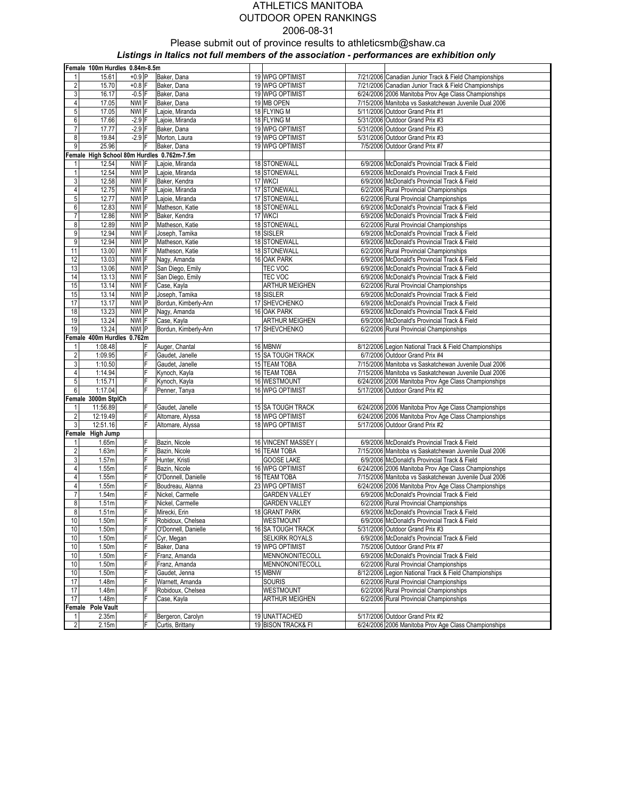# ATHLETICS MANITOBA OUTDOOR OPEN RANKINGS 2006-08-31 Please submit out of province results to athleticsmb@shaw.ca

Listings in Italics not full members of the association - performances are exhibition only

|                         | Female 100m Hurdles 0.84m-8.5m             |          |                      |                          |                                                       |
|-------------------------|--------------------------------------------|----------|----------------------|--------------------------|-------------------------------------------------------|
|                         | 15.61                                      | $+0.9$ P | Baker, Dana          | 19 WPG OPTIMIST          | 7/21/2006 Canadian Junior Track & Field Championships |
| $\overline{2}$          | 15.70                                      | $+0.8$ F | Baker, Dana          | 19 WPG OPTIMIST          | 7/21/2006 Canadian Junior Track & Field Championships |
| 3                       | 16.17                                      | $-0.5$ F | Baker, Dana          | 19 WPG OPTIMIST          | 6/24/2006 2006 Manitoba Prov Age Class Championships  |
| 4                       | 17.05                                      | NWI F    | Baker, Dana          | 19 MB OPEN               | 7/15/2006 Manitoba vs Saskatchewan Juvenile Dual 2006 |
| 5                       | 17.05                                      | NWI F    | Lajoie, Miranda      | 18 FLYING M              | 5/11/2006 Outdoor Grand Prix #1                       |
| 6                       | 17.66                                      | $-2.9$ F | Lajoie, Miranda      | 18 FLYING M              | 5/31/2006 Outdoor Grand Prix #3                       |
| 7                       | 17.77                                      | $-2.9$ F | Baker, Dana          | 19 WPG OPTIMIST          | 5/31/2006 Outdoor Grand Prix #3                       |
| 8                       | 19.84                                      | $-2.9$ F | Morton, Laura        | 19 WPG OPTIMIST          | 5/31/2006 Outdoor Grand Prix #3                       |
| 9                       | 25.96                                      | F        | Baker, Dana          | 19 WPG OPTIMIST          | 7/5/2006 Outdoor Grand Prix #7                        |
|                         | Female High School 80m Hurdles 0.762m-7.5m |          |                      |                          |                                                       |
| 1                       | 12.54                                      | NWI F    | Lajoie, Miranda      | 18 STONEWALL             | 6/9/2006 McDonald's Provincial Track & Field          |
| $\mathbf{1}$            | 12.54                                      | NWI P    | Lajoie, Miranda      | 18 STONEWALL             | 6/9/2006 McDonald's Provincial Track & Field          |
| 3                       | 12.58                                      | NWI F    | Baker, Kendra        | 17 WKCI                  | 6/9/2006 McDonald's Provincial Track & Field          |
| 4                       | 12.75                                      | NWI F    | Lajoie, Miranda      | 17 STONEWALL             | 6/2/2006 Rural Provincial Championships               |
| 5                       | 12.77                                      | NWI P    | Lajoie, Miranda      | 17 STONEWALL             | 6/2/2006 Rural Provincial Championships               |
| 6                       | 12.83                                      | NWI F    | Matheson, Katie      | 18 STONEWALL             | 6/9/2006 McDonald's Provincial Track & Field          |
| $\overline{7}$          | 12.86                                      | NWI P    | Baker, Kendra        | 17 WKCI                  | 6/9/2006 McDonald's Provincial Track & Field          |
| 8                       | 12.89                                      | NWI P    | Matheson, Katie      | 18 STONEWALL             | 6/2/2006 Rural Provincial Championships               |
| 9                       | 12.94                                      | NWI F    | Joseph, Tamika       | 18 SISLER                | 6/9/2006 McDonald's Provincial Track & Field          |
| 9                       | 12.94                                      | NWI P    | Matheson, Katie      | 18 STONEWALL             | 6/9/2006 McDonald's Provincial Track & Field          |
| 11                      | 13.00                                      | NWI F    | Matheson, Katie      | 18 STONEWALL             | 6/2/2006 Rural Provincial Championships               |
| 12                      | 13.03                                      | NWI F    | Nagy, Amanda         | 16 OAK PARK              | 6/9/2006 McDonald's Provincial Track & Field          |
| 13                      | 13.06                                      | NWI P    | San Diego, Emily     | TEC VOC                  | 6/9/2006 McDonald's Provincial Track & Field          |
| 14                      | 13.13                                      | NWI F    | San Diego, Emily     | TEC VOC                  | 6/9/2006 McDonald's Provincial Track & Field          |
| 15                      | 13.14                                      | NWI F    | Case, Kayla          | <b>ARTHUR MEIGHEN</b>    | 6/2/2006 Rural Provincial Championships               |
| 15                      | 13.14                                      | NWI P    | Joseph, Tamika       | 18 SISLER                | 6/9/2006 McDonald's Provincial Track & Field          |
| 17                      | 13.17                                      | NWI P    | Bordun, Kimberly-Ann | 17 SHEVCHENKO            | 6/9/2006 McDonald's Provincial Track & Field          |
| 18                      | 13.23                                      | NWI P    | Nagy, Amanda         | 16 OAK PARK              | 6/9/2006 McDonald's Provincial Track & Field          |
| 19                      | 13.24                                      | NWI F    | Case, Kayla          | ARTHUR MEIGHEN           | 6/9/2006 McDonald's Provincial Track & Field          |
| 19                      | 13.24                                      | NWI P    | Bordun, Kimberly-Ann | 17 SHEVCHENKO            | 6/2/2006 Rural Provincial Championships               |
|                         | Female 400m Hurdles 0.762m                 |          |                      |                          |                                                       |
| 1                       | 1:08.48                                    | ΙF       | Auger, Chantal       | 16 MBNW                  | 8/12/2006 Legion National Track & Field Championships |
| $\overline{\mathbf{c}}$ | 1:09.95                                    | F        | Gaudet, Janelle      | 15 SA TOUGH TRACK        | 6/7/2006 Outdoor Grand Prix #4                        |
| 3                       | 1:10.50                                    | F        | Gaudet, Janelle      | 15 TEAM TOBA             | 7/15/2006 Manitoba vs Saskatchewan Juvenile Dual 2006 |
| 4                       | 1:14.94                                    | F        | Kynoch, Kayla        | 16 TEAM TOBA             | 7/15/2006 Manitoba vs Saskatchewan Juvenile Dual 2006 |
| 5                       | 1:15.71                                    | F        | Kynoch, Kayla        | 16 WESTMOUNT             | 6/24/2006 2006 Manitoba Prov Age Class Championships  |
| 6                       | 1:17.04                                    | F        | Penner, Tanya        | 16 WPG OPTIMIST          | 5/17/2006 Outdoor Grand Prix #2                       |
|                         | Female 3000m StplCh                        |          |                      |                          |                                                       |
| 1                       | 11:56.89                                   | F        | Gaudet, Janelle      | 15 SA TOUGH TRACK        | 6/24/2006 2006 Manitoba Prov Age Class Championships  |
| $\overline{2}$          | 12:19.49                                   | F        | Altomare, Alyssa     | 18 WPG OPTIMIST          | 6/24/2006 2006 Manitoba Prov Age Class Championships  |
| 3                       | 12:51.16                                   | F        | Altomare, Alyssa     | 18 WPG OPTIMIST          | 5/17/2006 Outdoor Grand Prix #2                       |
|                         | Female High Jump                           |          |                      |                          |                                                       |
| 1                       | 1.65m                                      | F        | Bazin, Nicole        | 16 VINCENT MASSEY        | 6/9/2006 McDonald's Provincial Track & Field          |
| $\overline{\mathbf{c}}$ | 1.63m                                      | F        | Bazin, Nicole        | 16 TEAM TOBA             | 7/15/2006 Manitoba vs Saskatchewan Juvenile Dual 2006 |
| 3                       | 1.57m                                      | F        | Hunter, Kristi       | <b>GOOSE LAKE</b>        | 6/9/2006 McDonald's Provincial Track & Field          |
| 4                       | 1.55m                                      | F        | Bazin, Nicole        | 16 WPG OPTIMIST          | 6/24/2006 2006 Manitoba Prov Age Class Championships  |
| 4                       | 1.55m                                      | F        | O'Donnell, Danielle  | 16 TEAM TOBA             | 7/15/2006 Manitoba vs Saskatchewan Juvenile Dual 2006 |
| 4                       | 1.55m                                      | F        | Boudreau, Alanna     | 23 WPG OPTIMIST          | 6/24/2006 2006 Manitoba Prov Age Class Championships  |
| $\overline{7}$          | 1.54m                                      | F        | Nickel, Carmelle     | <b>GARDEN VALLEY</b>     | 6/9/2006 McDonald's Provincial Track & Field          |
| 8                       | 1.51m                                      | F        | Nickel, Carmelle     | <b>GARDEN VALLEY</b>     | 6/2/2006 Rural Provincial Championships               |
| 8                       | 1.51m                                      | F        | Mirecki, Erin        | 18 GRANT PARK            | 6/9/2006 McDonald's Provincial Track & Field          |
| 10                      | 1.50m                                      | F        | Robidoux, Chelsea    | WESTMOUNT                | 6/9/2006 McDonald's Provincial Track & Field          |
| 10                      | 1.50m                                      | F        | O'Donnell, Danielle  | <b>16 SA TOUGH TRACK</b> | 5/31/2006 Outdoor Grand Prix #3                       |
| 10                      | 1.50m                                      | F        | Cyr, Megan           | SELKIRK ROYALS           | 6/9/2006 McDonald's Provincial Track & Field          |
| 10                      | 1.50m                                      | F        | Baker, Dana          | 19 WPG OPTIMIST          | 7/5/2006 Outdoor Grand Prix #7                        |
| 10                      | 1.50m                                      | F        | Franz, Amanda        | MENNONONITECOLL          | 6/9/2006 McDonald's Provincial Track & Field          |
| 10                      | 1.50m                                      | F        | Franz, Amanda        | MENNONONITECOLL          | 6/2/2006 Rural Provincial Championships               |
| 10                      | 1.50m                                      | F        | Gaudet, Jenna        | 15 MBNW                  | 8/12/2006 Legion National Track & Field Championships |
| 17                      | 1.48m                                      | F        | Warnett, Amanda      | SOURIS                   | 6/2/2006 Rural Provincial Championships               |
| 17                      | 1.48m                                      | F        | Robidoux, Chelsea    | WESTMOUNT                | 6/2/2006 Rural Provincial Championships               |
| 17                      | 1.48m                                      | F        | Case, Kayla          | ARTHUR MEIGHEN           | 6/2/2006 Rural Provincial Championships               |
|                         | Female Pole Vault                          |          |                      |                          |                                                       |
| 1                       | 2.35m                                      | F        | Bergeron, Carolyn    | 19 UNATTACHED            | 5/17/2006 Outdoor Grand Prix #2                       |
| $\overline{2}$          | 2.15m                                      | F        | Curtis, Brittany     | 19 BISON TRACK& FI       | 6/24/2006 2006 Manitoba Prov Age Class Championships  |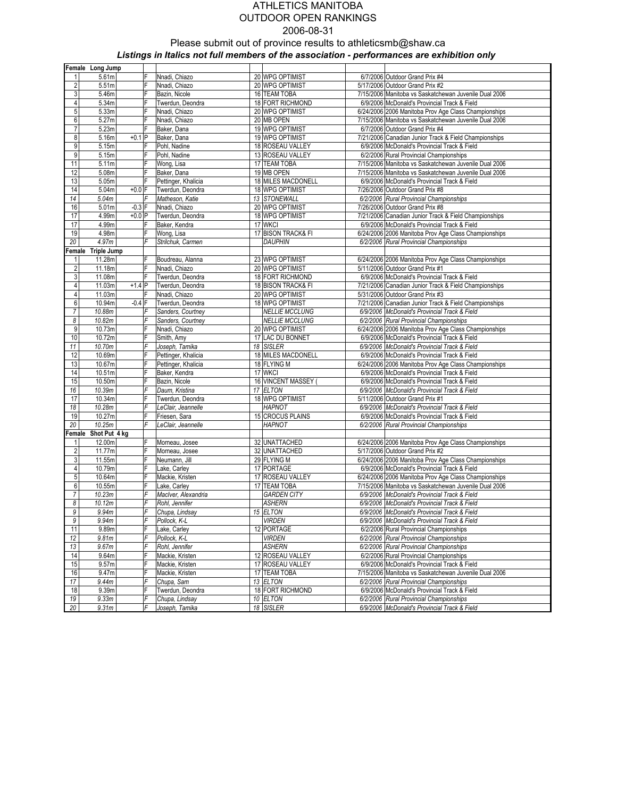|                  | Female Long Jump     |          |                     |                                       |                                                       |
|------------------|----------------------|----------|---------------------|---------------------------------------|-------------------------------------------------------|
| $\mathbf{1}$     | 5.61m                | F        | Nnadi, Chiazo       | 20 WPG OPTIMIST                       | 6/7/2006 Outdoor Grand Prix #4                        |
| $\overline{2}$   | 5.51m                | F        | Nnadi, Chiazo       | 20 WPG OPTIMIST                       | 5/17/2006 Outdoor Grand Prix #2                       |
| $\overline{3}$   | 5.46m                | F        | Bazin, Nicole       | 16 TEAM TOBA                          | 7/15/2006 Manitoba vs Saskatchewan Juvenile Dual 2006 |
| 4                | 5.34m                | F        | Twerdun, Deondra    | 18 FORT RICHMOND                      | 6/9/2006 McDonald's Provincial Track & Field          |
| 5                | 5.33m                | F        | Nnadi, Chiazo       | 20 WPG OPTIMIST                       | 6/24/2006 2006 Manitoba Prov Age Class Championships  |
| 6                | 5.27m                | F        | Nnadi, Chiazo       | 20 MB OPEN                            | 7/15/2006 Manitoba vs Saskatchewan Juvenile Dual 2006 |
| $\overline{7}$   | 5.23m                | F        | Baker, Dana         | 19 WPG OPTIMIST                       | 6/7/2006 Outdoor Grand Prix #4                        |
| 8                | 5.16m                | $+0.1$ P | Baker, Dana         | 19 WPG OPTIMIST                       | 7/21/2006 Canadian Junior Track & Field Championships |
| 9                | 5.15m                | F        | Pohl, Nadine        | 18 ROSEAU VALLEY                      | 6/9/2006 McDonald's Provincial Track & Field          |
| $\overline{9}$   | 5.15m                | F        | Pohl, Nadine        | 13 ROSEAU VALLEY                      | 6/2/2006 Rural Provincial Championships               |
| 11               | 5.11m                | F        | Wong, Lisa          | 17 TEAM TOBA                          | 7/15/2006 Manitoba vs Saskatchewan Juvenile Dual 2006 |
| 12               | 5.08m                | F        | Baker, Dana         | 19 MB OPEN                            | 7/15/2006 Manitoba vs Saskatchewan Juvenile Dual 2006 |
| 13               | 5.05m                | F        | Pettinger, Khalicia | 18 MILES MACDONELL                    | 6/9/2006 McDonald's Provincial Track & Field          |
| 14               | 5.04m                | $+0.0$ F | Twerdun, Deondra    | 18 WPG OPTIMIST                       | 7/26/2006 Outdoor Grand Prix #8                       |
| 14               | 5.04m                | F        | Matheson, Katie     | 13 STONEWALL                          | 6/2/2006 Rural Provincial Championships               |
| 16               | 5.01m                | $-0.3$ F | Nnadi, Chiazo       | 20 WPG OPTIMIST                       | 7/26/2006 Outdoor Grand Prix #8                       |
| 17               | 4.99m                | $+0.0$ P | Twerdun, Deondra    | 18 WPG OPTIMIST                       | 7/21/2006 Canadian Junior Track & Field Championships |
| 17               | 4.99m                | F        | Baker, Kendra       | 17 WKCI                               | 6/9/2006 McDonald's Provincial Track & Field          |
| 19               | 4.98m                | F        | Wong, Lisa          | 17 BISON TRACK& FI                    | 6/24/2006 2006 Manitoba Prov Age Class Championships  |
| 20               | 4.97m                | F        | Strilchuk, Carmen   | <b>DAUPHIN</b>                        | 6/2/2006 Rural Provincial Championships               |
|                  | Female Triple Jump   |          |                     |                                       |                                                       |
| 1                | 11.28m               | F        | Boudreau, Alanna    | 23 WPG OPTIMIST                       | 6/24/2006 2006 Manitoba Prov Age Class Championships  |
| $\overline{2}$   | 11.18m               | F        | Nnadi, Chiazo       | 20 WPG OPTIMIST                       | 5/11/2006 Outdoor Grand Prix #1                       |
| 3                |                      | F        | Twerdun, Deondra    | 18 FORT RICHMOND                      | 6/9/2006 McDonald's Provincial Track & Field          |
| $\overline{4}$   | 11.08m<br>11.03m     | $+1.4$ P |                     |                                       | 7/21/2006 Canadian Junior Track & Field Championships |
| 4                | 11.03m               | F        | Twerdun, Deondra    | 18 BISON TRACK& FI<br>20 WPG OPTIMIST | 5/31/2006 Outdoor Grand Prix #3                       |
|                  |                      |          | Nnadi, Chiazo       |                                       |                                                       |
| 6                | 10.94m               | $-0.4$ F | Twerdun, Deondra    | 18 WPG OPTIMIST                       | 7/21/2006 Canadian Junior Track & Field Championships |
| $\overline{7}$   | 10.88m               | F<br>F   | Sanders, Courtney   | <b>NELLIE MCCLUNG</b>                 | 6/9/2006 McDonald's Provincial Track & Field          |
| 8                | 10.82m               |          | Sanders, Courtney   | <b>NELLIE MCCLUNG</b>                 | 6/2/2006 Rural Provincial Championships               |
| 9                | 10.73m               | F        | Nnadi, Chiazo       | 20 WPG OPTIMIST                       | 6/24/2006 2006 Manitoba Prov Age Class Championships  |
| 10               | 10.72m               | F        | Smith, Amy          | 17 LAC DU BONNET                      | 6/9/2006 McDonald's Provincial Track & Field          |
| 11               | 10.70m               | F<br>F   | Joseph, Tamika      | 18 SISLER                             | 6/9/2006 McDonald's Provincial Track & Field          |
| 12               | 10.69m               |          | Pettinger, Khalicia | 18 MILES MACDONELL                    | 6/9/2006 McDonald's Provincial Track & Field          |
| 13               | 10.67m               | F<br>F   | Pettinger, Khalicia | 18 FLYING M                           | 6/24/2006 2006 Manitoba Prov Age Class Championships  |
| 14               | 10.51m               |          | Baker, Kendra       | 17 WKCI                               | 6/9/2006 McDonald's Provincial Track & Field          |
| 15               | 10.50m               | F        | Bazin, Nicole       | 16 VINCENT MASSEY                     | 6/9/2006 McDonald's Provincial Track & Field          |
| 16               | 10.39m               | F        | Daum, Kristina      | 17 ELTON                              | 6/9/2006 McDonald's Provincial Track & Field          |
| 17               | 10.34m               | F        | Twerdun, Deondra    | 18 WPG OPTIMIST                       | 5/11/2006 Outdoor Grand Prix #1                       |
| 18               | 10.28m               | F        | LeClair, Jeannelle  | <b>HAPNOT</b>                         | 6/9/2006 McDonald's Provincial Track & Field          |
| 19               | 10.27m               | F        | Friesen, Sara       | 15 CROCUS PLAINS                      | 6/9/2006 McDonald's Provincial Track & Field          |
| 20               | 10.25m               | F        | LeClair, Jeannelle  | <b>HAPNOT</b>                         | 6/2/2006 Rural Provincial Championships               |
|                  | Female Shot Put 4 kg |          |                     |                                       |                                                       |
| $\mathbf{1}$     | 12.00m               | F        | Morneau, Josee      | 32 UNATTACHED                         | 6/24/2006 2006 Manitoba Prov Age Class Championships  |
| $\overline{2}$   | 11.77m               | F        | Morneau, Josee      | 32 UNATTACHED                         | 5/17/2006 Outdoor Grand Prix #2                       |
| $\overline{3}$   | 11.55m               | F        | Neumann, Jill       | 29 FLYING M                           | 6/24/2006 2006 Manitoba Prov Age Class Championships  |
| $\overline{4}$   | 10.79m               | F        | Lake, Carley        | 17 PORTAGE                            | 6/9/2006 McDonald's Provincial Track & Field          |
| 5                | 10.64m               | F        | Mackie, Kristen     | 17 ROSEAU VALLEY                      | 6/24/2006 2006 Manitoba Prov Age Class Championships  |
| $\boldsymbol{6}$ | 10.55m               | F        | Lake, Carley        | 17 TEAM TOBA                          | 7/15/2006 Manitoba vs Saskatchewan Juvenile Dual 2006 |
| $\overline{7}$   | 10.23m               | F        | Maclver, Alexandria | <b>GARDEN CITY</b>                    | 6/9/2006 McDonald's Provincial Track & Field          |
| 8                | 10.12m               | F        | Rohl, Jennifer      | <b>ASHERN</b>                         | 6/9/2006 McDonald's Provincial Track & Field          |
| 9                | 9.94m                | F        | Chupa, Lindsay      | 15 ELTON                              | 6/9/2006 McDonald's Provincial Track & Field          |
| 9                | 9.94m                | F        | Pollock, K-L        | <b>VIRDEN</b>                         | 6/9/2006 McDonald's Provincial Track & Field          |
| 11               | 9.89m                | F        | Lake, Carley        | 12 PORTAGE                            | 6/2/2006 Rural Provincial Championships               |
| 12               | 9.81m                | F        | Pollock, K-L        | <b>VIRDEN</b>                         | 6/2/2006 Rural Provincial Championships               |
| $13\,$           | 9.67m                | F        | Rohl, Jennifer      | <b>ASHERN</b>                         | 6/2/2006 Rural Provincial Championships               |
| 14               | 9.64m                | F        | Mackie, Kristen     | 12 ROSEAU VALLEY                      | 6/2/2006 Rural Provincial Championships               |
| 15               | 9.57m                | F        | Mackie, Kristen     | 17 ROSEAU VALLEY                      | 6/9/2006 McDonald's Provincial Track & Field          |
| 16               | 9.47m                | F        | Mackie, Kristen     | 17 TEAM TOBA                          | 7/15/2006 Manitoba vs Saskatchewan Juvenile Dual 2006 |
| 17               | 9.44m                | F        | Chupa, Sam          | 13 ELTON                              | 6/2/2006 Rural Provincial Championships               |
| 18               | 9.39m                | F        | Twerdun, Deondra    | 18 FORT RICHMOND                      | 6/9/2006 McDonald's Provincial Track & Field          |
| 19               | 9.33m                | F        | Chupa, Lindsav      | 10 ELTON                              | 6/2/2006 Rural Provincial Championships               |
| 20               | 9.31 <sub>m</sub>    | F        | Joseph, Tamika      | 18 SISLER                             | 6/9/2006 McDonald's Provincial Track & Field          |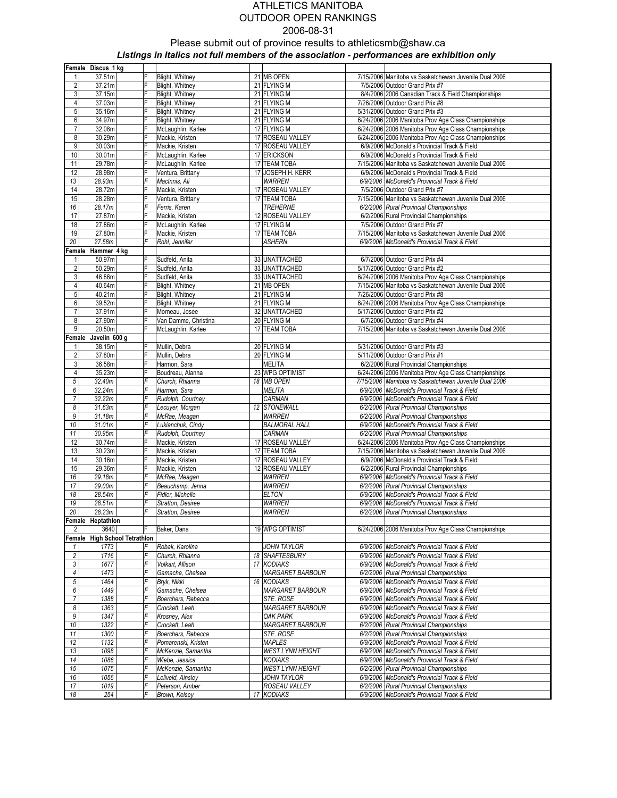|                         | Female Discus 1 kg            |            |                                         |                             |                                                                                                       |
|-------------------------|-------------------------------|------------|-----------------------------------------|-----------------------------|-------------------------------------------------------------------------------------------------------|
| 1                       | 37.51m                        | F          | Blight, Whitney                         | 21 MB OPEN                  | 7/15/2006 Manitoba vs Saskatchewan Juvenile Dual 2006                                                 |
| $\overline{\mathbf{c}}$ | 37.21m                        | F          | Blight, Whitney                         | 21 FLYING M                 | 7/5/2006 Outdoor Grand Prix #7                                                                        |
| 3                       | 37.15m                        | F          | Blight, Whitney                         | 21 FLYING M                 | 8/4/2006 2006 Canadian Track & Field Championships                                                    |
| 4                       | 37.03m                        | F          | Blight, Whitney                         | 21 FLYING M                 | 7/26/2006 Outdoor Grand Prix #8                                                                       |
| $5\overline{)}$         | 35.16m                        | F          | Blight, Whitney                         | 21 FLYING M                 | 5/31/2006 Outdoor Grand Prix #3                                                                       |
| 6                       | 34.97m                        | F          | Blight, Whitney                         | 21 FLYING M                 | 6/24/2006 2006 Manitoba Prov Age Class Championships                                                  |
| $\overline{7}$          | 32.08m                        | F          | McLaughlin, Karlee                      | 17 FLYING M                 | 6/24/2006 2006 Manitoba Prov Age Class Championships                                                  |
| 8                       | 30.29m                        | F          | Mackie, Kristen                         | 17 ROSEAU VALLEY            | 6/24/2006 2006 Manitoba Prov Age Class Championships                                                  |
| $\overline{9}$          | 30.03m                        | F          | Mackie, Kristen                         | 17 ROSEAU VALLEY            | 6/9/2006 McDonald's Provincial Track & Field                                                          |
| 10<br>11                | 30.01m<br>29.78m              | F<br>F     | McLaughlin, Karlee                      | 17 ERICKSON<br>17 TEAM TOBA | 6/9/2006 McDonald's Provincial Track & Field<br>7/15/2006 Manitoba vs Saskatchewan Juvenile Dual 2006 |
| 12                      | 28.98m                        | F          | McLaughlin, Karlee<br>Ventura, Brittany | 17 JOSEPH H. KERR           | 6/9/2006 McDonald's Provincial Track & Field                                                          |
| 13                      | 28.93m                        | F          | MacInnis, Ali                           | <b>WARREN</b>               | 6/9/2006 McDonald's Provincial Track & Field                                                          |
| 14                      | 28.72m                        | F          | Mackie, Kristen                         | 17 ROSEAU VALLEY            | 7/5/2006 Outdoor Grand Prix #7                                                                        |
| 15                      | 28.28m                        | F          | Ventura, Brittany                       | 17 TEAM TOBA                | 7/15/2006 Manitoba vs Saskatchewan Juvenile Dual 2006                                                 |
| 16                      | 28.17m                        | F          | Ferris, Karen                           | <b>TREHERNE</b>             | 6/2/2006 Rural Provincial Championships                                                               |
| 17                      | 27.87m                        | F          | Mackie, Kristen                         | 12 ROSEAU VALLEY            | 6/2/2006 Rural Provincial Championships                                                               |
| 18                      | 27.86m                        | F          | McLaughlin, Karlee                      | 17 FLYING M                 | 7/5/2006 Outdoor Grand Prix #7                                                                        |
| 19                      | 27.80m                        | F          | Mackie, Kristen                         | 17 TEAM TOBA                | 7/15/2006 Manitoba vs Saskatchewan Juvenile Dual 2006                                                 |
| 20                      | 27.58m                        | F          | Rohl, Jennifer                          | <b>ASHERN</b>               | 6/9/2006 McDonald's Provincial Track & Field                                                          |
|                         | Female Hammer 4 kg            |            |                                         |                             |                                                                                                       |
| 1                       | 50.97m                        | F          | Sudfeld, Anita                          | 33 UNATTACHED               | 6/7/2006 Outdoor Grand Prix #4                                                                        |
| $\overline{c}$          | 50.29m                        | F          | Sudfeld, Anita                          | 33 UNATTACHED               | 5/17/2006 Outdoor Grand Prix #2                                                                       |
| $\mathbf{3}$            | 46.86m                        | F          | Sudfeld, Anita                          | 33 UNATTACHED               | 6/24/2006 2006 Manitoba Prov Age Class Championships                                                  |
| $\overline{4}$          | 40.64m                        | F          | Blight, Whitney                         | 21 MB OPEN                  | 7/15/2006 Manitoba vs Saskatchewan Juvenile Dual 2006                                                 |
| $5\overline{)}$         | 40.21m                        | F          | Blight, Whitney                         | 21 FLYING M                 | 7/26/2006 Outdoor Grand Prix #8                                                                       |
| 6                       | 39.52m                        | F          | Blight, Whitney                         | 21 FLYING M                 | 6/24/2006 2006 Manitoba Prov Age Class Championships                                                  |
| 7                       | 37.91m                        | F          | Morneau, Josee                          | 32 UNATTACHED               | 5/17/2006 Outdoor Grand Prix #2                                                                       |
| 8                       | 27.90m                        | F          | Van Damme, Christina                    | 20 FLYING M                 | 6/7/2006 Outdoor Grand Prix #4                                                                        |
| 9                       | 20.50m                        | F          | McLaughlin, Karlee                      | 17 TEAM TOBA                | 7/15/2006 Manitoba vs Saskatchewan Juvenile Dual 2006                                                 |
| Female                  | Javelin 600 g                 |            |                                         |                             |                                                                                                       |
| 1<br>$\overline{2}$     | 38.15m<br>37.80m              | F<br>F     | Mullin, Debra                           | 20 FLYING M<br>20 FLYING M  | 5/31/2006 Outdoor Grand Prix #3                                                                       |
| $\mathbf{3}$            | 36.58m                        | F          | Mullin, Debra<br>Harmon, Sara           | <b>MELITA</b>               | 5/11/2006 Outdoor Grand Prix #1<br>6/2/2006 Rural Provincial Championships                            |
| 4                       | 35.23m                        | F          | Boudreau, Alanna                        | 23 WPG OPTIMIST             | 6/24/2006 2006 Manitoba Prov Age Class Championships                                                  |
| 5                       | 32.40m                        | F          | Church, Rhianna                         | 18 MB OPEN                  | 7/15/2006 Manitoba vs Saskatchewan Juvenile Dual 2006                                                 |
| 6                       | 32.24m                        | F          | Harmon, Sara                            | <b>MELITA</b>               | 6/9/2006 McDonald's Provincial Track & Field                                                          |
| $\overline{7}$          | 32.22m                        | F          | Rudolph, Courtney                       | CARMAN                      | 6/9/2006 McDonald's Provincial Track & Field                                                          |
| 8                       | 31.63m                        | F          | Lecuyer, Morgan                         | 12 STONEWALL                | 6/2/2006 Rural Provincial Championships                                                               |
| $\boldsymbol{9}$        | 31.18m                        | F          | McRae, Meagan                           | <b>WARREN</b>               | 6/2/2006 Rural Provincial Championships                                                               |
| 10                      | 31.01m                        | F          | Lukianchuk, Cindy                       | <b>BALMORAL HALL</b>        | 6/9/2006 McDonald's Provincial Track & Field                                                          |
| 11                      | 30.95m                        | F          | Rudolph, Courtney                       | CARMAN                      | 6/2/2006 Rural Provincial Championships                                                               |
| 12                      | 30.74m                        | F          | Mackie, Kristen                         | 17 ROSEAU VALLEY            | 6/24/2006 2006 Manitoba Prov Age Class Championships                                                  |
| 13                      | 30.23m                        | F          | Mackie, Kristen                         | 17 TEAM TOBA                | 7/15/2006 Manitoba vs Saskatchewan Juvenile Dual 2006                                                 |
| 14                      | 30.16m                        | F          | Mackie, Kristen                         | 17 ROSEAU VALLEY            | 6/9/2006 McDonald's Provincial Track & Field                                                          |
| 15                      | 29.36m                        | F          | Mackie, Kristen                         | 12 ROSEAU VALLEY            | 6/2/2006 Rural Provincial Championships                                                               |
| 16                      | 29.18m                        | F          | McRae, Meagan                           | <b>WARREN</b>               | 6/9/2006 McDonald's Provincial Track & Field                                                          |
| 17                      | 29.00m                        | F          | Beauchamp, Jenna                        | <b>WARREN</b>               | 6/2/2006 Rural Provincial Championships                                                               |
| 18                      | 28.54m                        | F          | Fidler, Michelle                        | <b>ELTON</b>                | 6/9/2006 McDonald's Provincial Track & Field                                                          |
| 19                      | 28.51m                        | F          | Stratton, Desiree                       | <b>WARREN</b>               | 6/9/2006 McDonald's Provincial Track & Field                                                          |
| 20                      | 28.23m                        | $\digamma$ | Stratton, Desiree                       | <b>WARREN</b>               | 6/2/2006 Rural Provincial Championships                                                               |
| $\overline{2}$          | Female Heptathlon<br>3640     | F          |                                         | 19 WPG OPTIMIST             |                                                                                                       |
|                         | Female High School Tetrathlon |            | Baker, Dana                             |                             | 6/24/2006 2006 Manitoba Prov Age Class Championships                                                  |
| $\mathbf{1}$            | 1773                          | F          | Robak, Karolina                         | <b>JOHN TAYLOR</b>          | 6/9/2006 McDonald's Provincial Track & Field                                                          |
| $\overline{c}$          | 1716                          | F          | Church, Rhianna                         | 18 SHAFTESBURY              | 6/9/2006 McDonald's Provincial Track & Field                                                          |
| $\sqrt{3}$              | 1677                          | F          | Volkart, Allison                        | 17 KODIAKS                  | 6/9/2006 McDonald's Provincial Track & Field                                                          |
| $\pmb{4}$               | 1473                          | F          | Gamache, Chelsea                        | MARGARET BARBOUR            | 6/2/2006 Rural Provincial Championships                                                               |
| $\sqrt{5}$              | 1464                          | F          | Bryk, Nikki                             | 16 KODIAKS                  | 6/9/2006 McDonald's Provincial Track & Field                                                          |
| 6                       | 1449                          | F          | Gamache, Chelsea                        | <b>MARGARET BARBOUR</b>     | 6/9/2006 McDonald's Provincial Track & Field                                                          |
| $\overline{7}$          | 1388                          | F          | Boerchers, Rebecca                      | STE. ROSE                   | 6/9/2006 McDonald's Provincial Track & Field                                                          |
| 8                       | 1363                          | F          | Crockett, Leah                          | <b>MARGARET BARBOUR</b>     | 6/9/2006 McDonald's Provincial Track & Field                                                          |
| $\boldsymbol{9}$        | 1347                          | F          | Krosney, Alex                           | <b>OAK PARK</b>             | 6/9/2006 McDonald's Provincial Track & Field                                                          |
| 10                      | 1322                          | F          | Crockett, Leah                          | <b>MARGARET BARBOUR</b>     | 6/2/2006 Rural Provincial Championships                                                               |
| 11                      | 1300                          | F          | Boerchers, Rebecca                      | STE. ROSE                   | 6/2/2006 Rural Provincial Championships                                                               |
| 12                      | 1132                          | F          | Pomarenski, Kristen                     | <b>MAPLES</b>               | 6/9/2006 McDonald's Provincial Track & Field                                                          |
| 13                      | 1098                          | F          | McKenzie, Samantha                      | <b>WEST LYNN HEIGHT</b>     | 6/9/2006 McDonald's Provincial Track & Field                                                          |
| 14                      | 1086                          | F          | Wiebe, Jessica                          | <b>KODIAKS</b>              | 6/9/2006 McDonald's Provincial Track & Field                                                          |
| 15                      | 1075                          | F          | McKenzie, Samantha                      | <b>WEST LYNN HEIGHT</b>     | 6/2/2006 Rural Provincial Championships                                                               |
| 16                      | 1056                          | F          | Leliveld, Ainsley                       | <b>JOHN TAYLOR</b>          | 6/9/2006 McDonald's Provincial Track & Field                                                          |
| 17                      | 1019                          | F          | Peterson, Amber                         | ROSEAU VALLEY               | 6/2/2006 Rural Provincial Championships                                                               |
| 18                      | 254                           | F          | Brown, Kelsey                           | 17 KODIAKS                  | 6/9/2006 McDonald's Provincial Track & Field                                                          |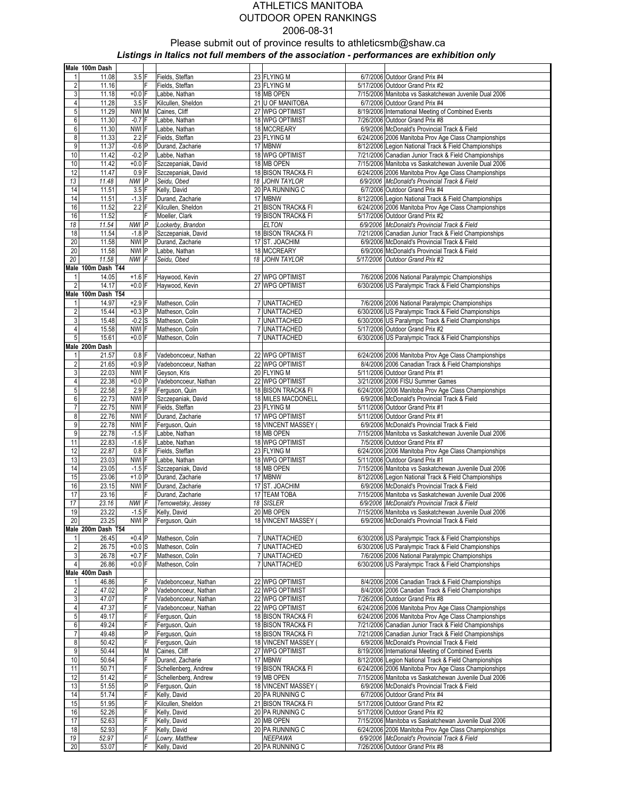|                         | Male 100m Dash     |                  |              |                      |                            |                                                                                         |
|-------------------------|--------------------|------------------|--------------|----------------------|----------------------------|-----------------------------------------------------------------------------------------|
| 1                       | 11.08              | $3.5$ F          |              | Fields, Steffan      | 23 FLYING M                | 6/7/2006 Outdoor Grand Prix #4                                                          |
| $\overline{\mathbf{c}}$ | 11.16              |                  | F            | Fields, Steffan      | 23 FLYING M                | 5/17/2006 Outdoor Grand Prix #2                                                         |
| 3                       | 11.18              | $+0.0$ F         |              | Labbe, Nathan        | 18 MB OPEN                 | 7/15/2006 Manitoba vs Saskatchewan Juvenile Dual 2006                                   |
| 4                       | 11.28              | $3.5$ F          |              | Kilcullen, Sheldon   | 21 U OF MANITOBA           | 6/7/2006 Outdoor Grand Prix #4                                                          |
| $5\overline{)}$         | 11.29              | NWI M            |              | Caines, Cliff        | 27 WPG OPTIMIST            | 8/19/2006 International Meeting of Combined Events                                      |
| 6                       | 11.30              | $-0.7$ F         |              | Labbe, Nathan        | 18 WPG OPTIMIST            | 7/26/2006 Outdoor Grand Prix #8                                                         |
| $6 \,$                  | 11.30              | NWI F            |              | Labbe, Nathan        | 18 MCCREARY                | 6/9/2006 McDonald's Provincial Track & Field                                            |
| 8                       | 11.33              | $2.2$ F          |              | Fields, Steffan      | 23 FLYING M                | 6/24/2006 2006 Manitoba Prov Age Class Championships                                    |
| 9                       | 11.37              | $-0.6$ P         |              | Durand, Zacharie     | 17 MBNW                    | 8/12/2006 Legion National Track & Field Championships                                   |
| 10                      | 11.42              | $-0.2$ P         |              | Labbe, Nathan        | 18 WPG OPTIMIST            | 7/21/2006 Canadian Junior Track & Field Championships                                   |
| 10                      | 11.42              | $+0.0$ F         |              | Szczepaniak, David   | 18 MB OPEN                 | 7/15/2006 Manitoba vs Saskatchewan Juvenile Dual 2006                                   |
| 12                      | 11.47              | $0.9$ F          |              | Szczepaniak, David   | 18 BISON TRACK& FI         | 6/24/2006 2006 Manitoba Prov Age Class Championships                                    |
| 13                      | 11.48              | NWI P            |              | Seidu, Obed          | 18 JOHN TAYLOR             | 6/9/2006 McDonald's Provincial Track & Field                                            |
|                         | 11.51              | $3.5$ F          |              |                      |                            |                                                                                         |
| 14<br>14                | 11.51              | $-1.3$ F         |              | Kelly, David         | 20 PA RUNNING C<br>17 MBNW | 6/7/2006 Outdoor Grand Prix #4                                                          |
|                         |                    | $2.2$ F          |              | Durand, Zacharie     |                            | 8/12/2006 Legion National Track & Field Championships                                   |
| 16                      | 11.52              |                  |              | Kilcullen, Sheldon   | 21 BISON TRACK& FI         | 6/24/2006 2006 Manitoba Prov Age Class Championships<br>5/17/2006 Outdoor Grand Prix #2 |
| 16                      | 11.52              |                  | F            | Moeller, Clark       | 19 BISON TRACK& FI         |                                                                                         |
| 18                      | 11.54              | NWI P            |              | Lockerby, Brandon    | <b>ELTON</b>               | 6/9/2006 McDonald's Provincial Track & Field                                            |
| 18                      | 11.54              | $-1.8$ P         |              | Szczepaniak, David   | 18 BISON TRACK& FI         | 7/21/2006 Canadian Junior Track & Field Championships                                   |
| 20                      | 11.58              | NWI P            |              | Durand, Zacharie     | 17 ST. JOACHIM             | 6/9/2006 McDonald's Provincial Track & Field                                            |
| 20                      | 11.58              | NWI P            |              | Labbe, Nathan        | 18 MCCREARY                | 6/9/2006 McDonald's Provincial Track & Field                                            |
| 20                      | 11.58              | NWI F            |              | Seidu, Obed          | 18 JOHN TAYLOR             | 5/17/2006 Outdoor Grand Prix #2                                                         |
|                         | Male 100m Dash T44 |                  |              |                      |                            |                                                                                         |
| 1                       | 14.05              | $+1.6$ F         |              | Haywood, Kevin       | 27 WPG OPTIMIST            | 7/6/2006 2006 National Paralympic Championships                                         |
| $\overline{2}$          | 14.17              | $+0.0$ F         |              | Haywood, Kevin       | 27 WPG OPTIMIST            | 6/30/2006 US Paralympic Track & Field Championships                                     |
|                         | Male 100m Dash T54 |                  |              |                      |                            |                                                                                         |
|                         | 14.97              | $+2.9$ F         |              | Matheson, Colin      | 7 UNATTACHED               | 7/6/2006 2006 National Paralympic Championships                                         |
| $\overline{2}$          | 15.44              | $+0.3$ P         |              | Matheson, Colin      | 7 UNATTACHED               | 6/30/2006 US Paralympic Track & Field Championships                                     |
| 3                       | 15.48              | $-0.2$ S         |              | Matheson, Colin      | 7 UNATTACHED               | 6/30/2006 US Paralympic Track & Field Championships                                     |
| 4                       | 15.58              | NWI F            |              | Matheson, Colin      | 7 UNATTACHED               | 5/17/2006 Outdoor Grand Prix #2                                                         |
| 5 <sup>1</sup>          | 15.61              | $+0.0$ F         |              | Matheson, Colin      | 7 UNATTACHED               | 6/30/2006 US Paralympic Track & Field Championships                                     |
|                         | Male 200m Dash     |                  |              |                      |                            |                                                                                         |
| $\mathbf{1}$            | 21.57              | $0.8$ F          |              | Vadeboncoeur, Nathan | 22 WPG OPTIMIST            | 6/24/2006 2006 Manitoba Prov Age Class Championships                                    |
| $\overline{2}$          | 21.65              | $+0.9$ P         |              | Vadeboncoeur, Nathan | 22 WPG OPTIMIST            | 8/4/2006 2006 Canadian Track & Field Championships                                      |
| 3                       | 22.03              | NWI F            |              | Geyson, Kris         | 20 FLYING M                | 5/11/2006 Outdoor Grand Prix #1                                                         |
| 4                       | 22.38              | $+0.0$ P         |              | Vadeboncoeur, Nathan | 22 WPG OPTIMIST            | 3/21/2006 2006 FISU Summer Games                                                        |
| 5 <sub>5</sub>          | 22.58              | $2.9$ F          |              | Ferguson, Quin       | 18 BISON TRACK& FI         | 6/24/2006 2006 Manitoba Prov Age Class Championships                                    |
| 6                       | 22.73              | NWI P            |              | Szczepaniak, David   | 18 MILES MACDONELL         | 6/9/2006 McDonald's Provincial Track & Field                                            |
| 7                       | 22.75              | NWI F            |              | Fields, Steffan      | 23 FLYING M                | 5/11/2006 Outdoor Grand Prix #1                                                         |
| 8                       | 22.76              | NWI F            |              | Durand, Zacharie     | 17 WPG OPTIMIST            | 5/11/2006 Outdoor Grand Prix #1                                                         |
| 9                       | 22.78              | NWI <sup>F</sup> |              | Ferguson, Quin       | 18 VINCENT MASSEY          | 6/9/2006 McDonald's Provincial Track & Field                                            |
| 9                       | 22.78              | $-1.5$ F         |              | Labbe, Nathan        | 18 MB OPEN                 | 7/15/2006 Manitoba vs Saskatchewan Juvenile Dual 2006                                   |
| 11                      | 22.83              | $-1.6$ F         |              | Labbe, Nathan        | 18 WPG OPTIMIST            | 7/5/2006 Outdoor Grand Prix #7                                                          |
| 12                      | 22.87              | $0.8$ F          |              | Fields, Steffan      | 23 FLYING M                | 6/24/2006 2006 Manitoba Prov Age Class Championships                                    |
| 13                      | 23.03              | NWI F            |              | Labbe, Nathan        | 18 WPG OPTIMIST            | 5/11/2006 Outdoor Grand Prix #1                                                         |
| 14                      | 23.05              | $-1.5$ F         |              | Szczepaniak, David   | 18 MB OPEN                 | 7/15/2006 Manitoba vs Saskatchewan Juvenile Dual 2006                                   |
| 15                      | 23.06              | $+1.0$ P         |              | Durand, Zacharie     | 17 MBNW                    | 8/12/2006 Legion National Track & Field Championships                                   |
| 16                      | 23.15              | NWI F            |              | Durand, Zacharie     | 17 ST. JOACHIM             | 6/9/2006 McDonald's Provincial Track & Field                                            |
| 17                      | 23.16              |                  | F            | Durand, Zacharie     | 17 TEAM TOBA               | 7/15/2006 Manitoba vs Saskatchewan Juvenile Dual 2006                                   |
| 17                      | 23.16              | NWI F            |              | Ternowetsky, Jessey  | 18 SISLER                  | 6/9/2006 McDonald's Provincial Track & Field                                            |
| 19                      | 23.22              | $-1.5$ F         |              | Kelly, David         | 20 MB OPEN                 | 7/15/2006 Manitoba vs Saskatchewan Juvenile Dual 2006                                   |
| 20                      | 23.25              | NWI P            |              | Ferguson, Quin       | 18 VINCENT MASSEY          | 6/9/2006 McDonald's Provincial Track & Field                                            |
|                         | Male 200m Dash T54 |                  |              |                      |                            |                                                                                         |
| 1                       | 26.45              | $+0.4$ P         |              | Matheson, Colin      | 7 UNATTACHED               | 6/30/2006 US Paralympic Track & Field Championships                                     |
| $\overline{2}$          | 26.75              | $+0.0$ S         |              | Matheson, Colin      | 7 UNATTACHED               | 6/30/2006 US Paralympic Track & Field Championships                                     |
| $\overline{3}$          | 26.78              | $+0.7$ F         |              | Matheson, Colin      | 7 UNATTACHED               | 7/6/2006 2006 National Paralympic Championships                                         |
| $\overline{4}$          | 26.86              | $+0.0$ F         |              | Matheson, Colin      | 7 UNATTACHED               | 6/30/2006 US Paralympic Track & Field Championships                                     |
|                         | Male 400m Dash     |                  |              |                      |                            |                                                                                         |
|                         | 46.86              |                  | F            | Vadeboncoeur, Nathan | 22 WPG OPTIMIST            | 8/4/2006 2006 Canadian Track & Field Championships                                      |
| 2                       | 47.02              |                  | $\mathsf{P}$ | Vadeboncoeur, Nathan | 22 WPG OPTIMIST            | 8/4/2006 2006 Canadian Track & Field Championships                                      |
| 3                       | 47.07              |                  | F            | Vadeboncoeur, Nathan | 22 WPG OPTIMIST            | 7/26/2006 Outdoor Grand Prix #8                                                         |
| 4                       | 47.37              |                  | F            | Vadeboncoeur, Nathan | 22 WPG OPTIMIST            | 6/24/2006 2006 Manitoba Prov Age Class Championships                                    |
| 5 <sub>5</sub>          | 49.17              |                  | F            | Ferguson, Quin       | 18 BISON TRACK& FI         | 6/24/2006 2006 Manitoba Prov Age Class Championships                                    |
| $\boldsymbol{6}$        | 49.24              |                  | F            | Ferguson, Quin       | 18 BISON TRACK& FI         | 7/21/2006 Canadian Junior Track & Field Championships                                   |
| 7                       | 49.48              |                  | $\mathsf{P}$ | Ferguson, Quin       | 18 BISON TRACK& FI         | 7/21/2006 Canadian Junior Track & Field Championships                                   |
| $\bf 8$                 | 50.42              |                  | F            | Ferguson, Quin       | 18 VINCENT MASSEY          | 6/9/2006 McDonald's Provincial Track & Field                                            |
| 9                       | 50.44              |                  | M            | Caines, Cliff        | 27 WPG OPTIMIST            | 8/19/2006 International Meeting of Combined Events                                      |
| 10                      | 50.64              |                  | F            | Durand, Zacharie     | 17 MBNW                    | 8/12/2006 Legion National Track & Field Championships                                   |
| 11                      | 50.71              |                  | F            | Schellenberg, Andrew | 19 BISON TRACK& FI         | 6/24/2006 2006 Manitoba Prov Age Class Championships                                    |
|                         |                    |                  |              |                      |                            |                                                                                         |
| 12                      | 51.42              |                  | F            | Schellenberg, Andrew | 19 MB OPEN                 | 7/15/2006 Manitoba vs Saskatchewan Juvenile Dual 2006                                   |
| 13                      | 51.55              |                  | P            | Ferguson, Quin       | 18 VINCENT MASSEY (        | 6/9/2006 McDonald's Provincial Track & Field                                            |
| 14                      | 51.74              |                  | F            | Kelly, David         | 20 PA RUNNING C            | 6/7/2006 Outdoor Grand Prix #4                                                          |
| 15                      | 51.95              |                  | F            | Kilcullen, Sheldon   | 21 BISON TRACK& FI         | 5/17/2006 Outdoor Grand Prix #2                                                         |
| 16                      | 52.26              |                  | F            | Kelly, David         | 20 PA RUNNING C            | 5/17/2006 Outdoor Grand Prix #2                                                         |
| 17                      | 52.63              |                  | F            | Kelly, David         | 20 MB OPEN                 | 7/15/2006 Manitoba vs Saskatchewan Juvenile Dual 2006                                   |
| 18                      | 52.93              |                  | F            | Kelly, David         | 20 PA RUNNING C            | 6/24/2006 2006 Manitoba Prov Age Class Championships                                    |
| 19                      | 52.97              |                  | F            | Lowry, Matthew       | NEEPAWA                    | 6/9/2006 McDonald's Provincial Track & Field                                            |
| 20                      | 53.07              |                  | F            | Kelly, David         | 20 PA RUNNING C            | 7/26/2006 Outdoor Grand Prix #8                                                         |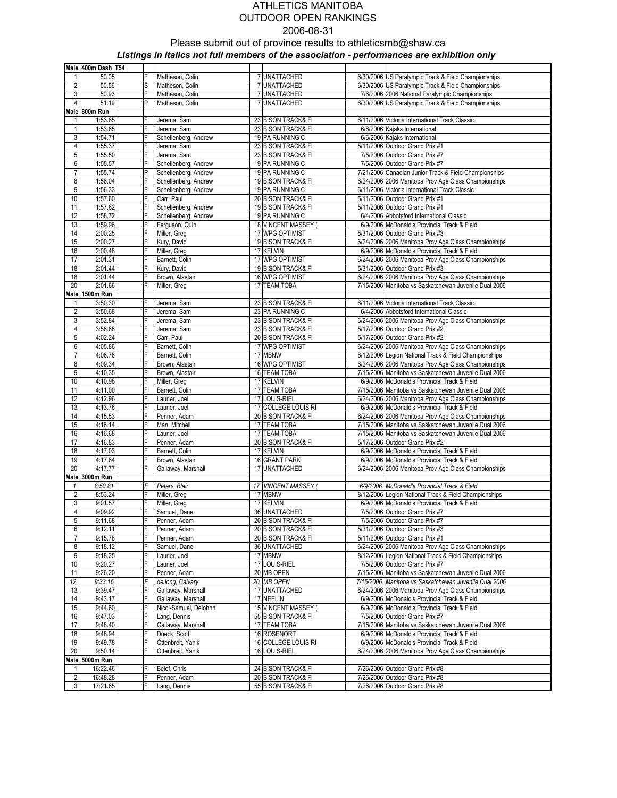|                         | Male 400m Dash T54        |                |                              |                            |                                                                  |
|-------------------------|---------------------------|----------------|------------------------------|----------------------------|------------------------------------------------------------------|
| 1                       | 50.05                     | F              | Matheson, Colin              | 7 UNATTACHED               | 6/30/2006 US Paralympic Track & Field Championships              |
| $\sqrt{2}$              | 50.56                     | S              | Matheson, Colin              | 7 UNATTACHED               | 6/30/2006 US Paralympic Track & Field Championships              |
| $\mathbf{3}$            | 50.93                     | F              | Matheson, Colin              | 7 UNATTACHED               | 7/6/2006 2006 National Paralympic Championships                  |
| $\overline{4}$          | 51.19                     | P              | Matheson, Colin              | 7 UNATTACHED               | 6/30/2006 US Paralympic Track & Field Championships              |
|                         | Male 800m Run             |                |                              |                            |                                                                  |
| 1                       | 1:53.65                   | F              | Jerema, Sam                  | 23 BISON TRACK& FI         | 6/11/2006 Victoria International Track Classic                   |
| $\mathbf{1}$            | 1:53.65                   | F              | Jerema, Sam                  | 23 BISON TRACK& FI         | 6/6/2006 Kajaks International                                    |
| 3                       | 1:54.71                   | F              | Schellenberg, Andrew         | 19 PA RUNNING C            | 6/6/2006 Kajaks International                                    |
| $\overline{\mathbf{4}}$ | 1:55.37                   | F              | Jerema, Sam                  | 23 BISON TRACK& FI         | 5/11/2006 Outdoor Grand Prix #1                                  |
| 5                       | 1:55.50                   | F              | Jerema, Sam                  | 23 BISON TRACK& FI         | 7/5/2006 Outdoor Grand Prix #7                                   |
| 6                       | 1:55.57                   | F              | Schellenberg, Andrew         | 19 PA RUNNING C            | 7/5/2006 Outdoor Grand Prix #7                                   |
| $\overline{7}$          | 1:55.74                   | P              | Schellenberg, Andrew         | 19 PA RUNNING C            | 7/21/2006 Canadian Junior Track & Field Championships            |
| 8                       | 1:56.04                   | F              | Schellenberg, Andrew         | 19 BISON TRACK& FI         | 6/24/2006 2006 Manitoba Prov Age Class Championships             |
| 9                       | 1:56.33                   | F              | Schellenberg, Andrew         | 19 PA RUNNING C            | 6/11/2006 Victoria International Track Classic                   |
| 10                      | 1:57.60                   | F              | Carr, Paul                   | 20 BISON TRACK& FI         | 5/11/2006 Outdoor Grand Prix #1                                  |
| 11                      | 1:57.62                   | F              | Schellenberg, Andrew         | 19 BISON TRACK& FI         | 5/11/2006 Outdoor Grand Prix #1                                  |
| 12                      | 1:58.72                   | F              | Schellenberg, Andrew         | 19 PA RUNNING C            | 6/4/2006 Abbotsford International Classic                        |
| 13                      | 1:59.96                   | F              | Ferguson, Quin               | 18 VINCENT MASSEY          | 6/9/2006 McDonald's Provincial Track & Field                     |
| 14                      | 2:00.25                   | F              | Miller, Greg                 | 17 WPG OPTIMIST            | 5/31/2006 Outdoor Grand Prix #3                                  |
| 15                      | 2:00.27                   | F              | Kury, David                  | 19 BISON TRACK& FI         | 6/24/2006 2006 Manitoba Prov Age Class Championships             |
| 16                      | 2:00.48                   | F              | Miller, Greg                 | 17 KELVIN                  | 6/9/2006 McDonald's Provincial Track & Field                     |
| 17                      | 2:01.31                   | $\overline{F}$ | Barnett, Colin               | 17 WPG OPTIMIST            | 6/24/2006 2006 Manitoba Prov Age Class Championships             |
| 18                      | 2:01.44                   | F<br>F         | Kury, David                  | 19 BISON TRACK& FI         | 5/31/2006 Outdoor Grand Prix #3                                  |
| 18                      | 2:01.44                   | F              | Brown, Alastair              | 16 WPG OPTIMIST            | 6/24/2006 2006 Manitoba Prov Age Class Championships             |
| 20                      | 2:01.66                   |                | Miller, Greg                 | 17 TEAM TOBA               | 7/15/2006 Manitoba vs Saskatchewan Juvenile Dual 2006            |
| 1                       | Male 1500m Run<br>3:50.30 | F              | Jerema, Sam                  | 23 BISON TRACK& FI         | 6/11/2006 Victoria International Track Classic                   |
| $\overline{\mathbf{c}}$ | 3:50.68                   | F              | Jerema, Sam                  | 23 PA RUNNING C            | 6/4/2006 Abbotsford International Classic                        |
| 3                       | 3:52.84                   | F              | Jerema, Sam                  | 23 BISON TRACK& FI         | 6/24/2006 2006 Manitoba Prov Age Class Championships             |
| $\overline{4}$          | 3:56.66                   | F              | Jerema, Sam                  | 23 BISON TRACK& FI         | 5/17/2006 Outdoor Grand Prix #2                                  |
| 5                       | 4:02.24                   | F              | Carr, Paul                   | 20 BISON TRACK& FI         | 5/17/2006 Outdoor Grand Prix #2                                  |
| 6                       | 4:05.86                   | F              | Barnett, Colin               | 17 WPG OPTIMIST            | 6/24/2006 2006 Manitoba Prov Age Class Championships             |
| $\boldsymbol{7}$        | 4:06.76                   | F              | Barnett, Colin               | 17 MBNW                    | 8/12/2006 Legion National Track & Field Championships            |
| 8                       | 4:09.34                   | F              | Brown, Alastair              | 16 WPG OPTIMIST            | 6/24/2006 2006 Manitoba Prov Age Class Championships             |
| 9                       | 4:10.35                   | F              | Brown, Alastair              | 16 TEAM TOBA               | 7/15/2006 Manitoba vs Saskatchewan Juvenile Dual 2006            |
| 10                      | 4:10.98                   | F              | Miller, Greg                 | 17 KELVIN                  | 6/9/2006 McDonald's Provincial Track & Field                     |
| 11                      | 4:11.00                   | F              | Barnett, Colin               | 17 TEAM TOBA               | 7/15/2006 Manitoba vs Saskatchewan Juvenile Dual 2006            |
| 12                      | 4:12.96                   | F              | Laurier, Joel                | 17 LOUIS-RIEL              | 6/24/2006 2006 Manitoba Prov Age Class Championships             |
| 13                      | 4:13.76                   | F              | Laurier, Joel                | 17 COLLEGE LOUIS RI        | 6/9/2006 McDonald's Provincial Track & Field                     |
| 14                      | 4:15.53                   | F              | Penner, Adam                 | 20 BISON TRACK& FI         | 6/24/2006 2006 Manitoba Prov Age Class Championships             |
| 15                      | 4:16.14                   | F              | Man, Mitchell                | 17 TEAM TOBA               | 7/15/2006 Manitoba vs Saskatchewan Juvenile Dual 2006            |
| 16                      | 4:16.68                   | F              | Laurier, Joel                | 17 TEAM TOBA               | 7/15/2006 Manitoba vs Saskatchewan Juvenile Dual 2006            |
| 17                      | 4:16.83                   | F              | Penner, Adam                 | 20 BISON TRACK& FI         | 5/17/2006 Outdoor Grand Prix #2                                  |
| 18                      | 4:17.03                   | F              | Barnett, Colin               | 17 KELVIN                  | 6/9/2006 McDonald's Provincial Track & Field                     |
| 19                      | 4:17.64                   | F              | Brown, Alastair              | 16 GRANT PARK              | 6/9/2006 McDonald's Provincial Track & Field                     |
| 20                      | 4:17.77                   | F              | Gallaway, Marshall           | 17 UNATTACHED              | 6/24/2006 2006 Manitoba Prov Age Class Championships             |
|                         | Male 3000m Run            |                |                              |                            |                                                                  |
| 1                       | 8:50.81                   |                | Peters, Blair                | 17 VINCENT MASSEY          | 6/9/2006 McDonald's Provincial Track & Field                     |
| $\overline{c}$          | 8:53.24                   | F              | Miller, Greg                 | 17 MBNW                    | 8/12/2006 Legion National Track & Field Championships            |
| 3                       | 9:01.57                   | F              | Miller, Greg                 | 17 KELVIN<br>36 UNATTACHED | 6/9/2006 McDonald's Provincial Track & Field                     |
| $\overline{4}$          | 9:09.92                   | F<br>F         | Samuel, Dane                 | 20 BISON TRACK& FI         | 7/5/2006 Outdoor Grand Prix #7<br>7/5/2006 Outdoor Grand Prix #7 |
| 5<br>6                  | 9:11.68<br>9:12.11        | F              | Penner, Adam<br>Penner, Adam | 20 BISON TRACK& FI         | 5/31/2006 Outdoor Grand Prix #3                                  |
| $\overline{7}$          | 9:15.78                   |                | Penner, Adam                 | 20 BISON TRACK& FI         | 5/11/2006 Outdoor Grand Prix #1                                  |
| $\bf 8$                 | 9:18.12                   | F              | Samuel, Dane                 | 36 UNATTACHED              | 6/24/2006 2006 Manitoba Prov Age Class Championships             |
| 9                       | 9:18.25                   | F              | Laurier, Joel                | 17 MBNW                    | 8/12/2006 Legion National Track & Field Championships            |
| 10                      | 9:20.27                   | F              | Laurier, Joel                | 17 LOUIS-RIEL              | 7/5/2006 Outdoor Grand Prix #7                                   |
| 11                      | 9:26.20                   | F              | Penner, Adam                 | 20 MB OPEN                 | 7/15/2006 Manitoba vs Saskatchewan Juvenile Dual 2006            |
| 12                      | 9:33.16                   | F              | deJong, Calvary              | 20 MB OPEN                 | 7/15/2006 Manitoba vs Saskatchewan Juvenile Dual 2006            |
| 13                      | 9:39.47                   | F              | Gallaway, Marshall           | 17 UNATTACHED              | 6/24/2006 2006 Manitoba Prov Age Class Championships             |
| 14                      | 9:43.17                   | F              | Gallaway, Marshall           | 17 NEELIN                  | 6/9/2006 McDonald's Provincial Track & Field                     |
| 15                      | 9:44.60                   | F              | Nicol-Samuel, Delohnni       | 15 VINCENT MASSEY (        | 6/9/2006 McDonald's Provincial Track & Field                     |
| 16                      | 9:47.03                   | F              | Lang, Dennis                 | 55 BISON TRACK& FI         | 7/5/2006 Outdoor Grand Prix #7                                   |
| 17                      | 9:48.40                   | F              | Gallaway, Marshall           | 17 TEAM TOBA               | 7/15/2006 Manitoba vs Saskatchewan Juvenile Dual 2006            |
| 18                      | 9:48.94                   | F              | Dueck, Scott                 | 16 ROSENORT                | 6/9/2006 McDonald's Provincial Track & Field                     |
| 19                      | 9:49.78                   | F              | Ottenbreit, Yanik            | 16 COLLEGE LOUIS RI        | 6/9/2006 McDonald's Provincial Track & Field                     |
| 20                      | 9:50.14                   | F              | Ottenbreit, Yanik            | 16 LOUIS-RIEL              | 6/24/2006 2006 Manitoba Prov Age Class Championships             |
|                         | Male 5000m Run            |                |                              |                            |                                                                  |
| 1                       | 16:22.46                  | F              | Belof, Chris                 | 24 BISON TRACK& FI         | 7/26/2006 Outdoor Grand Prix #8                                  |
| $\overline{2}$          | 16:48.28                  | F              | Penner, Adam                 | 20 BISON TRACK& FI         | 7/26/2006 Outdoor Grand Prix #8                                  |
| 3 <sup>1</sup>          | 17:21.65                  | F              | Lang, Dennis                 | 55 BISON TRACK& FI         | 7/26/2006 Outdoor Grand Prix #8                                  |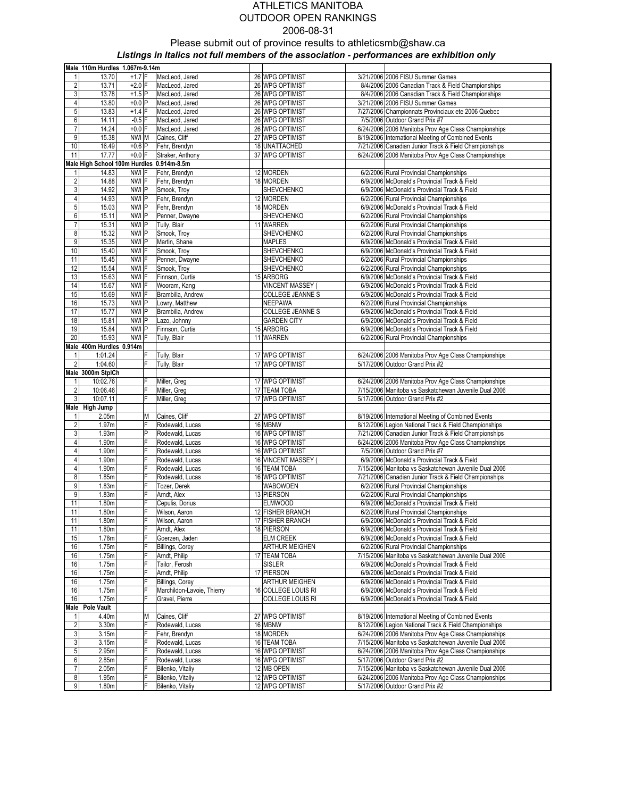# ATHLETICS MANITOBA OUTDOOR OPEN RANKINGS 2006-08-31 Please submit out of province results to athleticsmb@shaw.ca

Listings in Italics not full members of the association - performances are exhibition only

|                | Male 110m Hurdles 1.067m-9.14m            |                |  |                                    |  |                                 |  |                                                                                                               |  |  |  |  |
|----------------|-------------------------------------------|----------------|--|------------------------------------|--|---------------------------------|--|---------------------------------------------------------------------------------------------------------------|--|--|--|--|
| 1              | 13.70                                     | $+1.7 F$       |  | MacLeod, Jared                     |  | 26 WPG OPTIMIST                 |  | 3/21/2006 2006 FISU Summer Games                                                                              |  |  |  |  |
| $\sqrt{2}$     | 13.71                                     | $+2.0$ F       |  | MacLeod, Jared                     |  | 26 WPG OPTIMIST                 |  | 8/4/2006 2006 Canadian Track & Field Championships                                                            |  |  |  |  |
| 3              | 13.78                                     | $+1.5$ P       |  | MacLeod, Jared                     |  | 26 WPG OPTIMIST                 |  | 8/4/2006 2006 Canadian Track & Field Championships                                                            |  |  |  |  |
| 4              | 13.80                                     | $+0.0$ P       |  | MacLeod, Jared                     |  | 26 WPG OPTIMIST                 |  | 3/21/2006 2006 FISU Summer Games                                                                              |  |  |  |  |
| 5              | 13.83                                     | $+1.4$ F       |  | MacLeod, Jared                     |  | 26 WPG OPTIMIST                 |  | 7/27/2006 Championnats Provinciaux ete 2006 Quebec                                                            |  |  |  |  |
| 6              | 14.11                                     | $-0.5$ F       |  | MacLeod, Jared                     |  | 26 WPG OPTIMIST                 |  | 7/5/2006 Outdoor Grand Prix #7                                                                                |  |  |  |  |
| $\overline{7}$ | 14.24                                     | $+0.0$ F       |  | MacLeod, Jared                     |  | 26 WPG OPTIMIST                 |  | 6/24/2006 2006 Manitoba Prov Age Class Championships                                                          |  |  |  |  |
| 9              | 15.38                                     | NWI M          |  | Caines, Cliff                      |  | 27 WPG OPTIMIST                 |  | 8/19/2006 International Meeting of Combined Events                                                            |  |  |  |  |
| 10             | 16.49                                     | $+0.6$ P       |  | Fehr, Brendyn                      |  | 18 UNATTACHED                   |  | 7/21/2006 Canadian Junior Track & Field Championships                                                         |  |  |  |  |
| 11             | 17.77                                     | $+0.0 F$       |  | Straker, Anthony                   |  | 37 WPG OPTIMIST                 |  | 6/24/2006 2006 Manitoba Prov Age Class Championships                                                          |  |  |  |  |
|                | Male High School 100m Hurdles 0.914m-8.5m |                |  |                                    |  |                                 |  |                                                                                                               |  |  |  |  |
|                | 14.83                                     | NWI F          |  | Fehr, Brendyn                      |  | 12 MORDEN                       |  | 6/2/2006 Rural Provincial Championships                                                                       |  |  |  |  |
| $\overline{2}$ | 14.88                                     | NWI F          |  | Fehr, Brendyn                      |  | 18 MORDEN                       |  | 6/9/2006 McDonald's Provincial Track & Field                                                                  |  |  |  |  |
| 3              | 14.92                                     | NWI P          |  | Smook, Troy                        |  | SHEVCHENKO                      |  | 6/9/2006 McDonald's Provincial Track & Field                                                                  |  |  |  |  |
| 4              | 14.93                                     | NWI P          |  | Fehr, Brendyn                      |  | 12 MORDEN                       |  | 6/2/2006 Rural Provincial Championships                                                                       |  |  |  |  |
| 5              | 15.03                                     | NWI P          |  | Fehr, Brendyn                      |  | 18 MORDEN                       |  | 6/9/2006 McDonald's Provincial Track & Field                                                                  |  |  |  |  |
| 6              | 15.11                                     | NWI P          |  | Penner, Dwayne                     |  | SHEVCHENKO                      |  | 6/2/2006 Rural Provincial Championships                                                                       |  |  |  |  |
| 7              | 15.31                                     | NWI P          |  | Tully, Blair                       |  | 11 WARREN                       |  | 6/2/2006 Rural Provincial Championships                                                                       |  |  |  |  |
| 8              | 15.32                                     | NWI P          |  | Smook, Troy                        |  | SHEVCHENKO                      |  | 6/2/2006 Rural Provincial Championships                                                                       |  |  |  |  |
| 9              | 15.35                                     | NWI P          |  | Martin, Shane                      |  | <b>MAPLES</b>                   |  | 6/9/2006 McDonald's Provincial Track & Field                                                                  |  |  |  |  |
| 10             | 15.40                                     | NWI F          |  | Smook, Troy                        |  | SHEVCHENKO                      |  | 6/9/2006 McDonald's Provincial Track & Field                                                                  |  |  |  |  |
| 11             | 15.45                                     | NWI F          |  | Penner, Dwayne                     |  | SHEVCHENKO                      |  | 6/2/2006 Rural Provincial Championships                                                                       |  |  |  |  |
| 12             | 15.54                                     | NWI F          |  | Smook, Troy                        |  | SHEVCHENKO                      |  | 6/2/2006 Rural Provincial Championships                                                                       |  |  |  |  |
| 13             | 15.63                                     | NWI F          |  | Finnson, Curtis                    |  | 15 ARBORG                       |  | 6/9/2006 McDonald's Provincial Track & Field                                                                  |  |  |  |  |
| 14             | 15.67                                     | NWI F          |  | Wooram, Kang                       |  | <b>VINCENT MASSEY</b>           |  | 6/9/2006 McDonald's Provincial Track & Field                                                                  |  |  |  |  |
| 15             | 15.69                                     | NWI F          |  | Brambilla, Andrew                  |  | COLLEGE JEANNE S                |  | 6/9/2006 McDonald's Provincial Track & Field                                                                  |  |  |  |  |
| 16             | 15.73                                     | NWI P          |  | Lowry, Matthew                     |  | NEEPAWA                         |  | 6/2/2006 Rural Provincial Championships                                                                       |  |  |  |  |
| 17             | 15.77                                     | NWI P<br>NWI P |  | Brambilla, Andrew                  |  | COLLEGE JEANNE S                |  | 6/9/2006 McDonald's Provincial Track & Field<br>6/9/2006 McDonald's Provincial Track & Field                  |  |  |  |  |
| 18<br>19       | 15.81<br>15.84                            | NWI P          |  | Lazo, Johnny<br>Finnson, Curtis    |  | <b>GARDEN CITY</b><br>15 ARBORG |  | 6/9/2006 McDonald's Provincial Track & Field                                                                  |  |  |  |  |
| 20             | 15.93                                     | NWI F          |  | Tully, Blair                       |  | 11 WARREN                       |  | 6/2/2006 Rural Provincial Championships                                                                       |  |  |  |  |
|                | Male 400m Hurdles 0.914m                  |                |  |                                    |  |                                 |  |                                                                                                               |  |  |  |  |
| 1              | 1:01.24                                   | F              |  | Tully, Blair                       |  | 17 WPG OPTIMIST                 |  | 6/24/2006 2006 Manitoba Prov Age Class Championships                                                          |  |  |  |  |
| $\overline{2}$ | 1:04.60                                   | F              |  | Tully, Blair                       |  | 17 WPG OPTIMIST                 |  | 5/17/2006 Outdoor Grand Prix #2                                                                               |  |  |  |  |
|                | Male 3000m StplCh                         |                |  |                                    |  |                                 |  |                                                                                                               |  |  |  |  |
| 1              | 10:02.76                                  | F              |  | Miller, Greg                       |  | 17 WPG OPTIMIST                 |  | 6/24/2006 2006 Manitoba Prov Age Class Championships                                                          |  |  |  |  |
| $\overline{2}$ | 10:06.46                                  | F              |  | Miller, Greg                       |  | 17 TEAM TOBA                    |  | 7/15/2006 Manitoba vs Saskatchewan Juvenile Dual 2006                                                         |  |  |  |  |
| 3              | 10:07.11                                  | F              |  | Miller, Greg                       |  | 17 WPG OPTIMIST                 |  | 5/17/2006 Outdoor Grand Prix #2                                                                               |  |  |  |  |
|                | Male High Jump                            |                |  |                                    |  |                                 |  |                                                                                                               |  |  |  |  |
| 1              | 2.05m                                     | M              |  | Caines, Cliff                      |  | 27 WPG OPTIMIST                 |  | 8/19/2006 International Meeting of Combined Events                                                            |  |  |  |  |
| $\overline{2}$ | 1.97m                                     | F              |  | Rodewald, Lucas                    |  | 16 MBNW                         |  | 8/12/2006 Legion National Track & Field Championships                                                         |  |  |  |  |
| 3              | 1.93m                                     | P              |  | Rodewald, Lucas                    |  | 16 WPG OPTIMIST                 |  | 7/21/2006 Canadian Junior Track & Field Championships                                                         |  |  |  |  |
| 4              | 1.90m                                     | F              |  | Rodewald, Lucas                    |  | 16 WPG OPTIMIST                 |  | 6/24/2006 2006 Manitoba Prov Age Class Championships                                                          |  |  |  |  |
| 4              | 1.90m                                     | F              |  | Rodewald, Lucas                    |  | 16 WPG OPTIMIST                 |  | 7/5/2006 Outdoor Grand Prix #7                                                                                |  |  |  |  |
| 4              | 1.90m                                     | F              |  | Rodewald, Lucas                    |  | 16 VINCENT MASSEY               |  | 6/9/2006 McDonald's Provincial Track & Field                                                                  |  |  |  |  |
| 4              | 1.90m                                     | F              |  | Rodewald, Lucas                    |  | 16 TEAM TOBA                    |  | 7/15/2006 Manitoba vs Saskatchewan Juvenile Dual 2006                                                         |  |  |  |  |
| 8              | 1.85m                                     | F              |  | Rodewald, Lucas                    |  | 16 WPG OPTIMIST                 |  | 7/21/2006 Canadian Junior Track & Field Championships                                                         |  |  |  |  |
| 9              | 1.83m                                     | F              |  | Tozer, Derek                       |  | <b>WABOWDEN</b>                 |  | 6/2/2006 Rural Provincial Championships                                                                       |  |  |  |  |
| 9              | 1.83m                                     | F              |  | Arndt, Alex                        |  | 13 PIERSON                      |  | 6/2/2006 Rural Provincial Championships                                                                       |  |  |  |  |
| 11             | 1.80m                                     | F              |  | Cepulis, Dorius                    |  | <b>ELMWOOD</b>                  |  | 6/9/2006 McDonald's Provincial Track & Field                                                                  |  |  |  |  |
| 11             | 180m                                      | F              |  | Wilson, Aaron                      |  | 12 FISHER BRANCH                |  | 6/2/2006 Rural Provincial Championships                                                                       |  |  |  |  |
| 11             | 1.80m                                     | F              |  | Wilson, Aaron                      |  | 17 FISHER BRANCH                |  | 6/9/2006 McDonald's Provincial Track & Field                                                                  |  |  |  |  |
| 11             | 1.80m                                     | F              |  | Arndt, Alex                        |  | 18 PIERSON                      |  | 6/9/2006 McDonald's Provincial Track & Field                                                                  |  |  |  |  |
| 15             | 1.78m                                     | F              |  | Goerzen, Jaden                     |  | <b>ELM CREEK</b>                |  | 6/9/2006 McDonald's Provincial Track & Field                                                                  |  |  |  |  |
| 16             | 1.75m                                     | F              |  | Billings, Corey                    |  | <b>ARTHUR MEIGHEN</b>           |  | 6/2/2006 Rural Provincial Championships                                                                       |  |  |  |  |
| 16             | 1.75m                                     | F              |  | Arndt, Philip                      |  | 17 TEAM TOBA                    |  | 7/15/2006 Manitoba vs Saskatchewan Juvenile Dual 2006                                                         |  |  |  |  |
| 16             | 1.75m                                     | F              |  | Tailor, Ferosh                     |  | <b>SISLER</b>                   |  | 6/9/2006 McDonald's Provincial Track & Field                                                                  |  |  |  |  |
| 16             | 1.75m                                     | F              |  | Arndt, Philip                      |  | 17 PIERSON                      |  | 6/9/2006 McDonald's Provincial Track & Field                                                                  |  |  |  |  |
| 16             | 1.75m                                     | F              |  | <b>Billings, Corey</b>             |  | ARTHUR MEIGHEN                  |  | 6/9/2006 McDonald's Provincial Track & Field                                                                  |  |  |  |  |
| 16             | 1.75m                                     | F              |  | Marchildon-Lavoie, Thierry         |  | 16 COLLEGE LOUIS RI             |  | 6/9/2006 McDonald's Provincial Track & Field                                                                  |  |  |  |  |
| 16             | 1.75m                                     | F              |  | Gravel, Pierre                     |  | COLLEGE LOUIS RI                |  | 6/9/2006 McDonald's Provincial Track & Field                                                                  |  |  |  |  |
|                | Male Pole Vault                           |                |  |                                    |  |                                 |  |                                                                                                               |  |  |  |  |
|                | 4.40m                                     | M              |  | Caines, Cliff                      |  | 27 WPG OPTIMIST                 |  | 8/19/2006 International Meeting of Combined Events                                                            |  |  |  |  |
| 2              | 3.30m                                     | F<br>F         |  | Rodewald, Lucas                    |  | 16 MBNW                         |  | 8/12/2006 Legion National Track & Field Championships                                                         |  |  |  |  |
| 3              | 3.15m                                     | F              |  | Fehr, Brendyn                      |  | 18 MORDEN                       |  | 6/24/2006 2006 Manitoba Prov Age Class Championships<br>7/15/2006 Manitoba vs Saskatchewan Juvenile Dual 2006 |  |  |  |  |
| 3<br>5         | 3.15m<br>2.95m                            | F              |  | Rodewald, Lucas                    |  | 16 TEAM TOBA<br>16 WPG OPTIMIST |  | 6/24/2006 2006 Manitoba Prov Age Class Championships                                                          |  |  |  |  |
| 6              | 2.85m                                     | F              |  | Rodewald, Lucas<br>Rodewald, Lucas |  | 16 WPG OPTIMIST                 |  | 5/17/2006 Outdoor Grand Prix #2                                                                               |  |  |  |  |
| 7              | 2.05m                                     | F              |  | Bilenko, Vitaliy                   |  | 12 MB OPEN                      |  | 7/15/2006 Manitoba vs Saskatchewan Juvenile Dual 2006                                                         |  |  |  |  |
| 8              | 1.95m                                     | F              |  | Bilenko, Vitaliy                   |  | 12 WPG OPTIMIST                 |  | 6/24/2006 2006 Manitoba Prov Age Class Championships                                                          |  |  |  |  |
| 9              | 1.80m                                     | F              |  | Bilenko, Vitaliy                   |  | 12 WPG OPTIMIST                 |  | 5/17/2006 Outdoor Grand Prix #2                                                                               |  |  |  |  |
|                |                                           |                |  |                                    |  |                                 |  |                                                                                                               |  |  |  |  |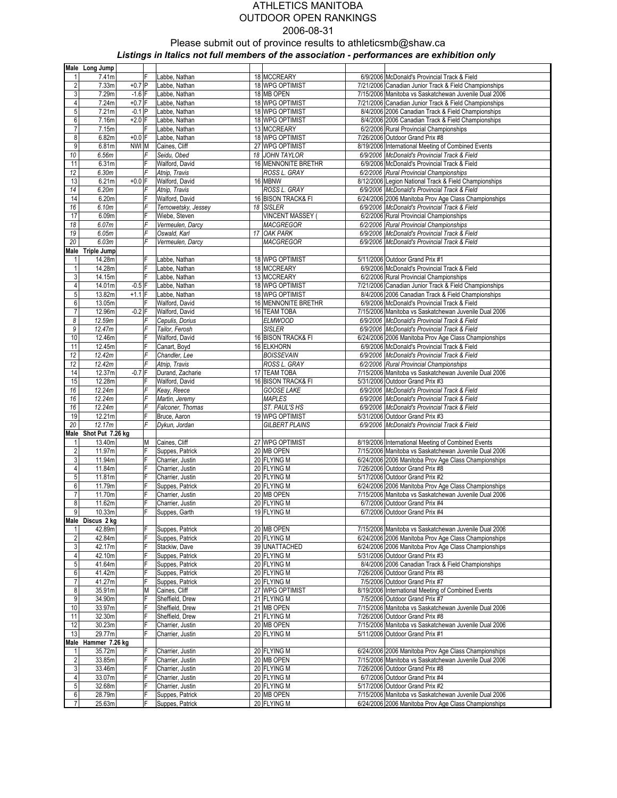|                  | Male Long Jump      |          |        |                     |    |                       |                                                                                         |
|------------------|---------------------|----------|--------|---------------------|----|-----------------------|-----------------------------------------------------------------------------------------|
| 1                | 7.41m               |          | F      | Labbe, Nathan       |    | 18 MCCREARY           | 6/9/2006 McDonald's Provincial Track & Field                                            |
| $\overline{2}$   | 7.33m               | $+0.7$ P |        | Labbe, Nathan       |    | 18 WPG OPTIMIST       | 7/21/2006 Canadian Junior Track & Field Championships                                   |
| $\overline{3}$   | 7.29m               | $-1.6$ F |        | Labbe, Nathan       |    | 18 MB OPEN            | 7/15/2006 Manitoba vs Saskatchewan Juvenile Dual 2006                                   |
| 4                | 7.24m               | $+0.7$ F |        | Labbe, Nathan       |    | 18 WPG OPTIMIST       | 7/21/2006 Canadian Junior Track & Field Championships                                   |
| $\overline{5}$   | 7.21m               | $-0.1$ P |        | Labbe, Nathan       |    | 18 WPG OPTIMIST       | 8/4/2006 2006 Canadian Track & Field Championships                                      |
| 6                | 7.16m               | $+2.0$ F |        | Labbe, Nathan       |    | 18 WPG OPTIMIST       | 8/4/2006 2006 Canadian Track & Field Championships                                      |
| $\overline{7}$   | 7.15m               |          | F      | Labbe, Nathan       |    | 13 MCCREARY           | 6/2/2006 Rural Provincial Championships                                                 |
| 8                | 6.82m               | $+0.0$ F |        | Labbe, Nathan       |    | 18 WPG OPTIMIST       | 7/26/2006 Outdoor Grand Prix #8                                                         |
| 9                | 6.81m               | NWI M    |        | Caines, Cliff       |    | 27 WPG OPTIMIST       | 8/19/2006 International Meeting of Combined Events                                      |
| 10               | 6.56m               |          | F      | Seidu, Obed         |    | 18 JOHN TAYLOR        | 6/9/2006 McDonald's Provincial Track & Field                                            |
|                  | 6.31m               |          | F      |                     |    | 16 MENNONITE BRETHR   |                                                                                         |
| 11               |                     |          | F      | Walford, David      |    |                       | 6/9/2006 McDonald's Provincial Track & Field<br>6/2/2006 Rural Provincial Championships |
| $12 \,$          | 6.30m               |          |        | Atnip, Travis       |    | ROSS L. GRAY          |                                                                                         |
| 13               | 6.21m               | $+0.0$ F | F      | Walford, David      |    | 16 MBNW               | 8/12/2006 Legion National Track & Field Championships                                   |
| 14               | 6.20m               |          |        | Atnip, Travis       |    | ROSS L. GRAY          | 6/9/2006 McDonald's Provincial Track & Field                                            |
| 14               | 6.20m               |          | F<br>F | Walford, David      |    | 16 BISON TRACK& FI    | 6/24/2006 2006 Manitoba Prov Age Class Championships                                    |
| 16               | 6.10m               |          |        | Ternowetsky, Jessey | 18 | <b>SISLER</b>         | 6/9/2006 McDonald's Provincial Track & Field                                            |
| 17               | 6.09m               |          | F      | Wiebe, Steven       |    | <b>VINCENT MASSEY</b> | 6/2/2006 Rural Provincial Championships                                                 |
| 18               | 6.07m               |          | F      | Vermeulen, Darcy    |    | <b>MACGREGOR</b>      | 6/2/2006 Rural Provincial Championships                                                 |
| 19               | 6.05m               |          | F      | Oswald, Karl        |    | 17 OAK PARK           | 6/9/2006 McDonald's Provincial Track & Field                                            |
| 20               | 6.03m               |          | F      | Vermeulen, Darcy    |    | MACGREGOR             | 6/9/2006 McDonald's Provincial Track & Field                                            |
|                  | Male Triple Jump    |          |        |                     |    |                       |                                                                                         |
| 1                | 14.28m              |          | F      | Labbe, Nathan       |    | 18 WPG OPTIMIST       | 5/11/2006 Outdoor Grand Prix #1                                                         |
| $\mathbf{1}$     | 14.28m              |          | F      | Labbe, Nathan       |    | 18 MCCREARY           | 6/9/2006 McDonald's Provincial Track & Field                                            |
| $\mathbf{3}$     | 14.15m              |          | F      | Labbe, Nathan       |    | 13 MCCREARY           | 6/2/2006 Rural Provincial Championships                                                 |
| 4                | 14.01m              | $-0.5$ F |        | Labbe, Nathan       |    | 18 WPG OPTIMIST       | 7/21/2006 Canadian Junior Track & Field Championships                                   |
| 5                | 13.82m              | $+1.1$ F |        | Labbe, Nathan       |    | 18 WPG OPTIMIST       | 8/4/2006 2006 Canadian Track & Field Championships                                      |
| 6                | 13.05m              |          | Е      | Walford, David      |    | 16 MENNONITE BRETHR   | 6/9/2006 McDonald's Provincial Track & Field                                            |
| $\overline{7}$   | 12.96m              | $-0.2$ F |        | Walford, David      |    | 16 TEAM TOBA          | 7/15/2006 Manitoba vs Saskatchewan Juvenile Dual 2006                                   |
| 8                | 12.59m              |          | F      | Cepulis, Dorius     |    | <b>ELMWOOD</b>        | 6/9/2006 McDonald's Provincial Track & Field                                            |
| 9                | 12.47m              |          | F      | Tailor, Ferosh      |    | <b>SISLER</b>         | 6/9/2006 McDonald's Provincial Track & Field                                            |
| 10               | 12.46m              |          | F      | Walford, David      |    | 16 BISON TRACK& FI    | 6/24/2006 2006 Manitoba Prov Age Class Championships                                    |
| 11               | 12.45m              |          | F      | Canart, Boyd        |    | 16 ELKHORN            | 6/9/2006 McDonald's Provincial Track & Field                                            |
| 12               | 12.42m              |          | F      | Chandler, Lee       |    | <b>BOISSEVAIN</b>     | 6/9/2006 McDonald's Provincial Track & Field                                            |
| 12               | 12.42m              |          | F      | Atnip, Travis       |    | ROSS L. GRAY          | 6/2/2006 Rural Provincial Championships                                                 |
| 14               | 12.37m              | $-0.7$ F |        | Durand, Zacharie    |    | 17 TEAM TOBA          | 7/15/2006 Manitoba vs Saskatchewan Juvenile Dual 2006                                   |
| 15               | 12.28m              |          | F      | Walford, David      |    | 16 BISON TRACK& FI    | 5/31/2006 Outdoor Grand Prix #3                                                         |
| 16               | 12.24m              |          | F      | Keay, Reece         |    | GOOSE LAKE            | 6/9/2006 McDonald's Provincial Track & Field                                            |
| 16               | 12.24m              |          | F      | Martin, Jeremy      |    | <b>MAPLES</b>         | 6/9/2006 McDonald's Provincial Track & Field                                            |
| 16               | 12.24m              |          | F      | Falconer, Thomas    |    | ST. PAUL'S HS         | 6/9/2006 McDonald's Provincial Track & Field                                            |
| 19               | 12.21m              |          | F      | Bruce, Aaron        |    | 19 WPG OPTIMIST       | 5/31/2006 Outdoor Grand Prix #3                                                         |
| 20               | 12.17m              |          | F      | Dykun, Jordan       |    | <b>GILBERT PLAINS</b> | 6/9/2006 McDonald's Provincial Track & Field                                            |
| Male             | Shot Put 7.26 kg    |          |        |                     |    |                       |                                                                                         |
|                  | 13.40m              |          | M      | Caines, Cliff       |    | 27 WPG OPTIMIST       | 8/19/2006 International Meeting of Combined Events                                      |
| $\overline{c}$   | 11.97m              |          | F      | Suppes, Patrick     |    | 20 MB OPEN            | 7/15/2006 Manitoba vs Saskatchewan Juvenile Dual 2006                                   |
| $\overline{3}$   | 11.94m              |          | F      | Charrier, Justin    |    | 20 FLYING M           | 6/24/2006 2006 Manitoba Prov Age Class Championships                                    |
| 4                | 11.84m              |          | F      | Charrier, Justin    |    | 20 FLYING M           | 7/26/2006 Outdoor Grand Prix #8                                                         |
| 5                | 11.81m              |          | F      | Charrier, Justin    |    | 20 FLYING M           | 5/17/2006 Outdoor Grand Prix #2                                                         |
| $\boldsymbol{6}$ | 11.79m              |          | F      | Suppes, Patrick     |    | 20 FLYING M           | 6/24/2006 2006 Manitoba Prov Age Class Championships                                    |
| 7                | 11.70m              |          | F      | Charrier, Justin    |    | 20 MB OPEN            | 7/15/2006 Manitoba vs Saskatchewan Juvenile Dual 2006                                   |
| 8                | 11.62m              |          | F      | Charrier, Justin    |    | 20 FLYING M           | 6/7/2006 Outdoor Grand Prix #4                                                          |
| 9                | 10.33m              |          | lF     | Suppes, Garth       |    | 19 FLYING M           | 6/7/2006 Outdoor Grand Prix #4                                                          |
|                  | Male Discus 2 kg    |          |        |                     |    |                       |                                                                                         |
| 1                | 42.89m              |          |        | Suppes, Patrick     |    | 20 MB OPEN            | 7/15/2006 Manitoba vs Saskatchewan Juvenile Dual 2006                                   |
| $\overline{2}$   | 42.84m              |          | Ē      | Suppes, Patrick     |    | 20 FLYING M           | 6/24/2006 2006 Manitoba Prov Age Class Championships                                    |
| $\mathbf{3}$     | 42.17m              |          | F      | Stackiw, Dave       |    | 39 UNATTACHED         | 6/24/2006 2006 Manitoba Prov Age Class Championships                                    |
| $\overline{4}$   | 42.10m              |          | F      | Suppes, Patrick     |    | 20 FLYING M           | 5/31/2006 Outdoor Grand Prix #3                                                         |
| $5\overline{)}$  | 41.64m              |          | F      | Suppes, Patrick     |    | 20 FLYING M           | 8/4/2006 2006 Canadian Track & Field Championships                                      |
| $6 \,$           | 41.42m              |          | F      | Suppes, Patrick     |    | 20 FLYING M           | 7/26/2006 Outdoor Grand Prix #8                                                         |
| 7                | 41.27m              |          | F      | Suppes, Patrick     |    | 20 FLYING M           | 7/5/2006 Outdoor Grand Prix #7                                                          |
| $\bf 8$          | 35.91m              |          | M      | Caines, Cliff       |    | 27 WPG OPTIMIST       | 8/19/2006 International Meeting of Combined Events                                      |
| $\overline{9}$   | 34.90m              |          | F      | Sheffield, Drew     |    | 21 FLYING M           | 7/5/2006 Outdoor Grand Prix #7                                                          |
| 10               | 33.97m              |          | F      | Sheffield, Drew     |    | 21 MB OPEN            | 7/15/2006 Manitoba vs Saskatchewan Juvenile Dual 2006                                   |
| 11               | 32.30m              |          | F      | Sheffield, Drew     |    | 21 FLYING M           | 7/26/2006 Outdoor Grand Prix #8                                                         |
| 12               | 30.23m              |          | F      | Charrier, Justin    |    | 20 MB OPEN            | 7/15/2006 Manitoba vs Saskatchewan Juvenile Dual 2006                                   |
| 13               | 29.77m              |          | E      | Charrier, Justin    |    | 20 FLYING M           | 5/11/2006 Outdoor Grand Prix #1                                                         |
|                  | Male Hammer 7.26 kg |          |        |                     |    |                       |                                                                                         |
|                  | 35.72m              |          | F      | Charrier, Justin    |    | 20 FLYING M           | 6/24/2006 2006 Manitoba Prov Age Class Championships                                    |
| $\overline{2}$   | 33.85m              |          | F      | Charrier, Justin    |    | 20 MB OPEN            | 7/15/2006 Manitoba vs Saskatchewan Juvenile Dual 2006                                   |
| $\mathbf{3}$     | 33.46m              |          | F      | Charrier, Justin    |    | 20 FLYING M           | 7/26/2006 Outdoor Grand Prix #8                                                         |
|                  |                     |          | F      |                     |    |                       |                                                                                         |
| 4                | 33.07m              |          |        | Charrier, Justin    |    | 20 FLYING M           | 6/7/2006 Outdoor Grand Prix #4                                                          |
| $\overline{5}$   | 32.68m              |          | F      | Charrier, Justin    |    | 20 FLYING M           | 5/17/2006 Outdoor Grand Prix #2                                                         |
| $\boldsymbol{6}$ | 28.79m              |          | F      | Suppes, Patrick     |    | 20 MB OPEN            | 7/15/2006 Manitoba vs Saskatchewan Juvenile Dual 2006                                   |
| $\overline{7}$   | 25.63m              |          | F      | Suppes, Patrick     |    | 20 FLYING M           | 6/24/2006 2006 Manitoba Prov Age Class Championships                                    |